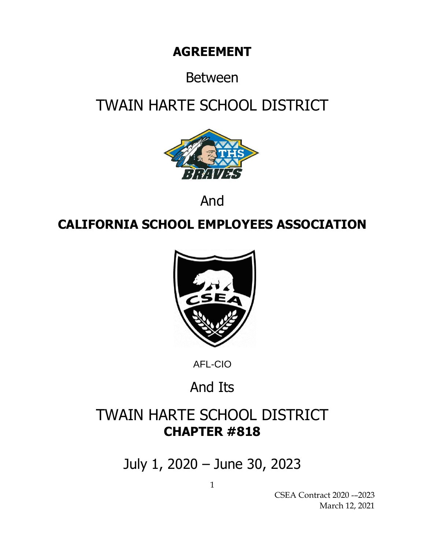# **AGREEMENT**

# Between

# TWAIN HARTE SCHOOL DISTRICT



And

# **CALIFORNIA SCHOOL EMPLOYEES ASSOCIATION**



AFL-CIO

# And Its

# TWAIN HARTE SCHOOL DISTRICT **CHAPTER #818**

July 1, 2020 – June 30, 2023

CSEA Contract 2020 -–2023 March 12, 2021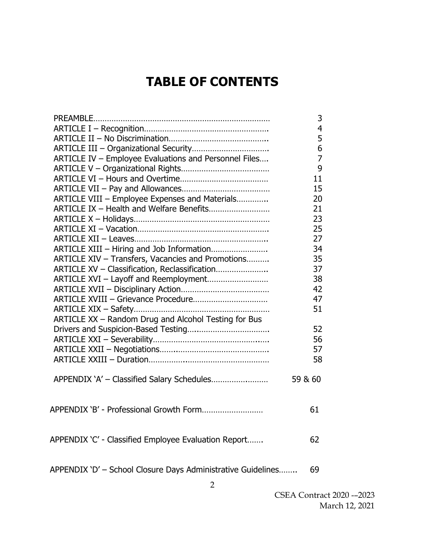# **TABLE OF CONTENTS**

|                                                              | 3              |
|--------------------------------------------------------------|----------------|
|                                                              | $\overline{4}$ |
|                                                              | 5              |
|                                                              | 6              |
| ARTICLE IV - Employee Evaluations and Personnel Files        | $\overline{7}$ |
|                                                              | 9              |
|                                                              | 11             |
|                                                              | 15             |
| ARTICLE VIII - Employee Expenses and Materials               | 20             |
| ARTICLE IX - Health and Welfare Benefits                     | 21             |
|                                                              | 23             |
|                                                              | 25             |
|                                                              | 27             |
| ARTICLE XIII - Hiring and Job Information                    | 34             |
| ARTICLE XIV - Transfers, Vacancies and Promotions            | 35             |
| ARTICLE XV - Classification, Reclassification                | 37             |
| ARTICLE XVI - Layoff and Reemployment                        | 38             |
|                                                              | 42             |
| ARTICLE XVIII - Grievance Procedure                          | 47             |
|                                                              | 51             |
| ARTICLE XX - Random Drug and Alcohol Testing for Bus         |                |
|                                                              | 52             |
|                                                              | 56             |
|                                                              | 57             |
|                                                              | 58             |
|                                                              |                |
|                                                              | 59 & 60        |
|                                                              |                |
|                                                              |                |
| APPENDIX 'B' - Professional Growth Form                      | 61             |
|                                                              |                |
|                                                              |                |
| APPENDIX 'C' - Classified Employee Evaluation Report         | 62             |
|                                                              |                |
|                                                              |                |
| APPENDIX 'D' - School Closure Days Administrative Guidelines | 69             |
|                                                              |                |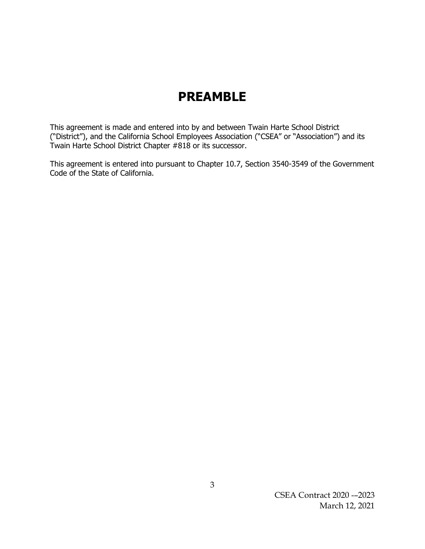## **PREAMBLE**

This agreement is made and entered into by and between Twain Harte School District ("District"), and the California School Employees Association ("CSEA" or "Association") and its Twain Harte School District Chapter #818 or its successor.

This agreement is entered into pursuant to Chapter 10.7, Section 3540-3549 of the Government Code of the State of California.

> CSEA Contract 2020 -–2023 March 12, 2021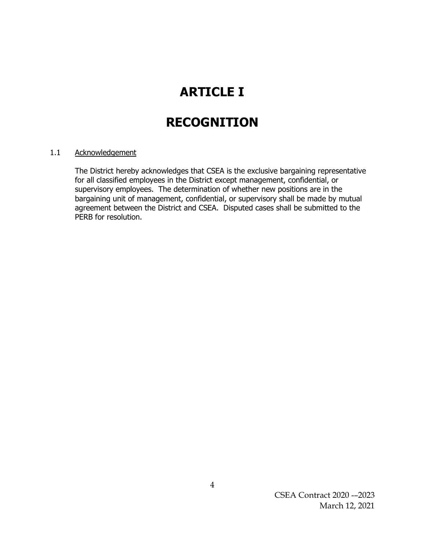# **ARTICLE I**

# **RECOGNITION**

### 1.1 Acknowledgement

The District hereby acknowledges that CSEA is the exclusive bargaining representative for all classified employees in the District except management, confidential, or supervisory employees. The determination of whether new positions are in the bargaining unit of management, confidential, or supervisory shall be made by mutual agreement between the District and CSEA. Disputed cases shall be submitted to the PERB for resolution.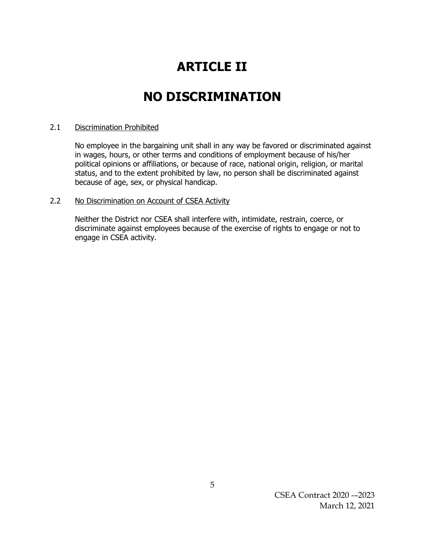# **ARTICLE II**

## **NO DISCRIMINATION**

### 2.1 Discrimination Prohibited

No employee in the bargaining unit shall in any way be favored or discriminated against in wages, hours, or other terms and conditions of employment because of his/her political opinions or affiliations, or because of race, national origin, religion, or marital status, and to the extent prohibited by law, no person shall be discriminated against because of age, sex, or physical handicap.

### 2.2 No Discrimination on Account of CSEA Activity

Neither the District nor CSEA shall interfere with, intimidate, restrain, coerce, or discriminate against employees because of the exercise of rights to engage or not to engage in CSEA activity.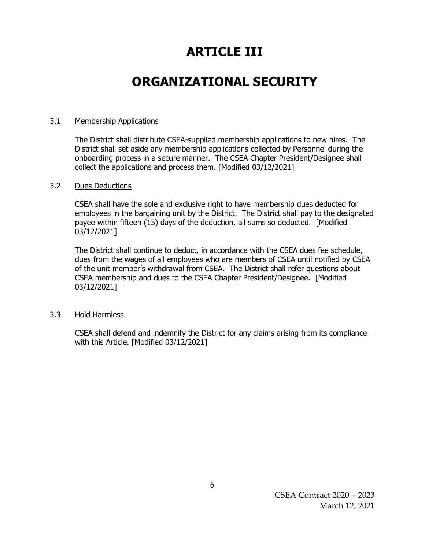# **ARTICLE III**

## **ORGANIZATIONAL SECURITY**

### 3.1 Membership Applications

The District shall distribute CSEA-supplied membership applications to new hires. The District shall set aside any membership applications collected by Personnel during the onboarding process in a secure manner. The CSEA Chapter President/Designee shall collect the applications and process them. [Modified 03/12/2021]

### 3.2 Dues Deductions

CSEA shall have the sole and exclusive right to have membership dues deducted for employees in the bargaining unit by the District. The District shall pay to the designated payee within fifteen (15) days of the deduction, all sums so deducted. [Modified 03/12/2021]

The District shall continue to deduct, in accordance with the CSEA dues fee schedule, dues from the wages of all employees who are members of CSEA until notified by CSEA of the unit member's withdrawal from CSEA. The District shall refer questions about CSEA membership and dues to the CSEA Chapter President/Designee. [Modified 03/12/2021]

### 3.3 Hold Harmless

CSEA shall defend and indemnify the District for any claims arising from its compliance with this Article. [Modified 03/12/2021]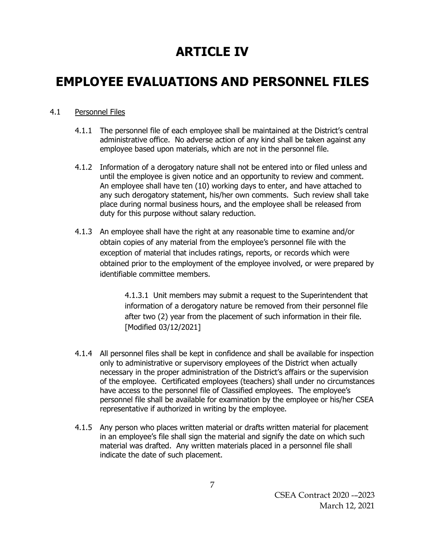# **ARTICLE IV**

## **EMPLOYEE EVALUATIONS AND PERSONNEL FILES**

## 4.1 Personnel Files

- 4.1.1 The personnel file of each employee shall be maintained at the District's central administrative office. No adverse action of any kind shall be taken against any employee based upon materials, which are not in the personnel file.
- 4.1.2 Information of a derogatory nature shall not be entered into or filed unless and until the employee is given notice and an opportunity to review and comment. An employee shall have ten (10) working days to enter, and have attached to any such derogatory statement, his/her own comments. Such review shall take place during normal business hours, and the employee shall be released from duty for this purpose without salary reduction.
- 4.1.3 An employee shall have the right at any reasonable time to examine and/or obtain copies of any material from the employee's personnel file with the exception of material that includes ratings, reports, or records which were obtained prior to the employment of the employee involved, or were prepared by identifiable committee members.

4.1.3.1 Unit members may submit a request to the Superintendent that information of a derogatory nature be removed from their personnel file after two (2) year from the placement of such information in their file. [Modified 03/12/2021]

- 4.1.4 All personnel files shall be kept in confidence and shall be available for inspection only to administrative or supervisory employees of the District when actually necessary in the proper administration of the District's affairs or the supervision of the employee. Certificated employees (teachers) shall under no circumstances have access to the personnel file of Classified employees. The employee's personnel file shall be available for examination by the employee or his/her CSEA representative if authorized in writing by the employee.
- 4.1.5 Any person who places written material or drafts written material for placement in an employee's file shall sign the material and signify the date on which such material was drafted. Any written materials placed in a personnel file shall indicate the date of such placement.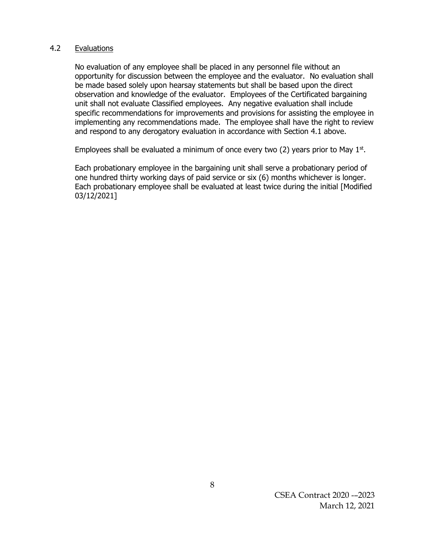### 4.2 Evaluations

No evaluation of any employee shall be placed in any personnel file without an opportunity for discussion between the employee and the evaluator. No evaluation shall be made based solely upon hearsay statements but shall be based upon the direct observation and knowledge of the evaluator. Employees of the Certificated bargaining unit shall not evaluate Classified employees. Any negative evaluation shall include specific recommendations for improvements and provisions for assisting the employee in implementing any recommendations made. The employee shall have the right to review and respond to any derogatory evaluation in accordance with Section 4.1 above.

Employees shall be evaluated a minimum of once every two  $(2)$  years prior to May  $1<sup>st</sup>$ .

Each probationary employee in the bargaining unit shall serve a probationary period of one hundred thirty working days of paid service or six (6) months whichever is longer. Each probationary employee shall be evaluated at least twice during the initial [Modified 03/12/2021]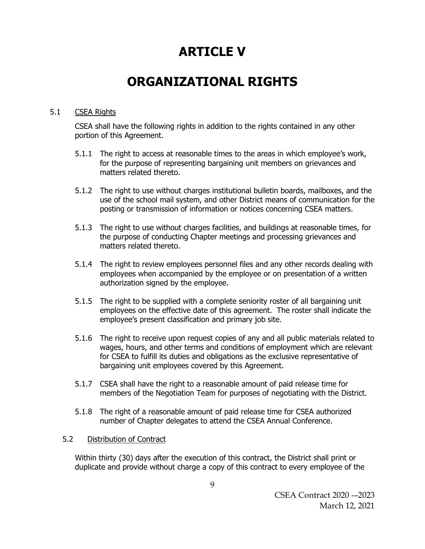## **ARTICLE V**

## **ORGANIZATIONAL RIGHTS**

## 5.1 CSEA Rights

CSEA shall have the following rights in addition to the rights contained in any other portion of this Agreement.

- 5.1.1 The right to access at reasonable times to the areas in which employee's work, for the purpose of representing bargaining unit members on grievances and matters related thereto.
- 5.1.2 The right to use without charges institutional bulletin boards, mailboxes, and the use of the school mail system, and other District means of communication for the posting or transmission of information or notices concerning CSEA matters.
- 5.1.3 The right to use without charges facilities, and buildings at reasonable times, for the purpose of conducting Chapter meetings and processing grievances and matters related thereto.
- 5.1.4 The right to review employees personnel files and any other records dealing with employees when accompanied by the employee or on presentation of a written authorization signed by the employee.
- 5.1.5 The right to be supplied with a complete seniority roster of all bargaining unit employees on the effective date of this agreement. The roster shall indicate the employee's present classification and primary job site.
- 5.1.6 The right to receive upon request copies of any and all public materials related to wages, hours, and other terms and conditions of employment which are relevant for CSEA to fulfill its duties and obligations as the exclusive representative of bargaining unit employees covered by this Agreement.
- 5.1.7 CSEA shall have the right to a reasonable amount of paid release time for members of the Negotiation Team for purposes of negotiating with the District.
- 5.1.8 The right of a reasonable amount of paid release time for CSEA authorized number of Chapter delegates to attend the CSEA Annual Conference.

## 5.2 Distribution of Contract

Within thirty (30) days after the execution of this contract, the District shall print or duplicate and provide without charge a copy of this contract to every employee of the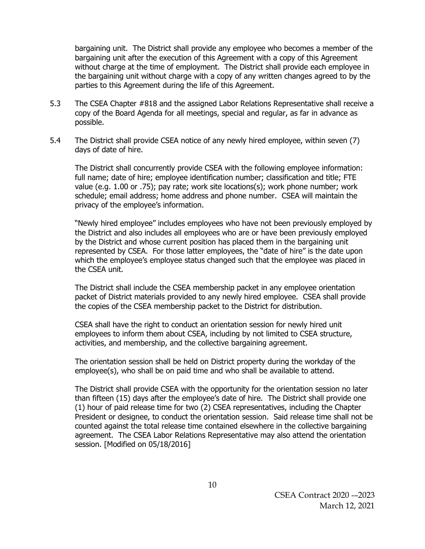bargaining unit. The District shall provide any employee who becomes a member of the bargaining unit after the execution of this Agreement with a copy of this Agreement without charge at the time of employment. The District shall provide each employee in the bargaining unit without charge with a copy of any written changes agreed to by the parties to this Agreement during the life of this Agreement.

- 5.3 The CSEA Chapter #818 and the assigned Labor Relations Representative shall receive a copy of the Board Agenda for all meetings, special and regular, as far in advance as possible.
- 5.4 The District shall provide CSEA notice of any newly hired employee, within seven (7) days of date of hire.

The District shall concurrently provide CSEA with the following employee information: full name; date of hire; employee identification number; classification and title; FTE value (e.g. 1.00 or .75); pay rate; work site locations(s); work phone number; work schedule; email address; home address and phone number. CSEA will maintain the privacy of the employee's information.

"Newly hired employee" includes employees who have not been previously employed by the District and also includes all employees who are or have been previously employed by the District and whose current position has placed them in the bargaining unit represented by CSEA. For those latter employees, the "date of hire" is the date upon which the employee's employee status changed such that the employee was placed in the CSEA unit.

The District shall include the CSEA membership packet in any employee orientation packet of District materials provided to any newly hired employee. CSEA shall provide the copies of the CSEA membership packet to the District for distribution.

CSEA shall have the right to conduct an orientation session for newly hired unit employees to inform them about CSEA, including by not limited to CSEA structure, activities, and membership, and the collective bargaining agreement.

The orientation session shall be held on District property during the workday of the employee(s), who shall be on paid time and who shall be available to attend.

The District shall provide CSEA with the opportunity for the orientation session no later than fifteen (15) days after the employee's date of hire. The District shall provide one (1) hour of paid release time for two (2) CSEA representatives, including the Chapter President or designee, to conduct the orientation session. Said release time shall not be counted against the total release time contained elsewhere in the collective bargaining agreement. The CSEA Labor Relations Representative may also attend the orientation session. [Modified on 05/18/2016]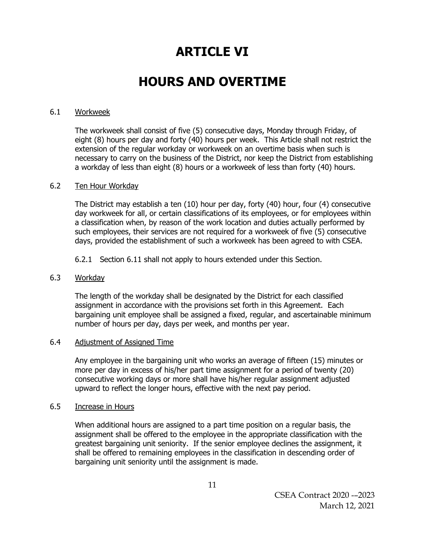## **ARTICLE VI**

## **HOURS AND OVERTIME**

### 6.1 Workweek

The workweek shall consist of five (5) consecutive days, Monday through Friday, of eight (8) hours per day and forty (40) hours per week. This Article shall not restrict the extension of the regular workday or workweek on an overtime basis when such is necessary to carry on the business of the District, nor keep the District from establishing a workday of less than eight (8) hours or a workweek of less than forty (40) hours.

### 6.2 Ten Hour Workday

The District may establish a ten (10) hour per day, forty (40) hour, four (4) consecutive day workweek for all, or certain classifications of its employees, or for employees within a classification when, by reason of the work location and duties actually performed by such employees, their services are not required for a workweek of five (5) consecutive days, provided the establishment of such a workweek has been agreed to with CSEA.

6.2.1 Section 6.11 shall not apply to hours extended under this Section.

### 6.3 Workday

The length of the workday shall be designated by the District for each classified assignment in accordance with the provisions set forth in this Agreement. Each bargaining unit employee shall be assigned a fixed, regular, and ascertainable minimum number of hours per day, days per week, and months per year.

### 6.4 Adjustment of Assigned Time

Any employee in the bargaining unit who works an average of fifteen (15) minutes or more per day in excess of his/her part time assignment for a period of twenty (20) consecutive working days or more shall have his/her regular assignment adjusted upward to reflect the longer hours, effective with the next pay period.

### 6.5 Increase in Hours

When additional hours are assigned to a part time position on a regular basis, the assignment shall be offered to the employee in the appropriate classification with the greatest bargaining unit seniority. If the senior employee declines the assignment, it shall be offered to remaining employees in the classification in descending order of bargaining unit seniority until the assignment is made.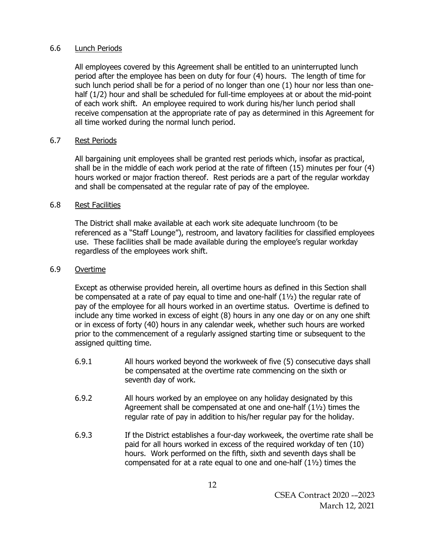### 6.6 Lunch Periods

All employees covered by this Agreement shall be entitled to an uninterrupted lunch period after the employee has been on duty for four (4) hours. The length of time for such lunch period shall be for a period of no longer than one (1) hour nor less than onehalf (1/2) hour and shall be scheduled for full-time employees at or about the mid-point of each work shift. An employee required to work during his/her lunch period shall receive compensation at the appropriate rate of pay as determined in this Agreement for all time worked during the normal lunch period.

### 6.7 Rest Periods

All bargaining unit employees shall be granted rest periods which, insofar as practical, shall be in the middle of each work period at the rate of fifteen (15) minutes per four (4) hours worked or major fraction thereof. Rest periods are a part of the regular workday and shall be compensated at the regular rate of pay of the employee.

### 6.8 Rest Facilities

The District shall make available at each work site adequate lunchroom (to be referenced as a "Staff Lounge"), restroom, and lavatory facilities for classified employees use. These facilities shall be made available during the employee's regular workday regardless of the employees work shift.

### 6.9 Overtime

Except as otherwise provided herein, all overtime hours as defined in this Section shall be compensated at a rate of pay equal to time and one-half (1½) the regular rate of pay of the employee for all hours worked in an overtime status. Overtime is defined to include any time worked in excess of eight (8) hours in any one day or on any one shift or in excess of forty (40) hours in any calendar week, whether such hours are worked prior to the commencement of a regularly assigned starting time or subsequent to the assigned quitting time.

- 6.9.1 All hours worked beyond the workweek of five (5) consecutive days shall be compensated at the overtime rate commencing on the sixth or seventh day of work.
- 6.9.2 All hours worked by an employee on any holiday designated by this Agreement shall be compensated at one and one-half (1½) times the regular rate of pay in addition to his/her regular pay for the holiday.
- 6.9.3 If the District establishes a four-day workweek, the overtime rate shall be paid for all hours worked in excess of the required workday of ten (10) hours. Work performed on the fifth, sixth and seventh days shall be compensated for at a rate equal to one and one-half (1½) times the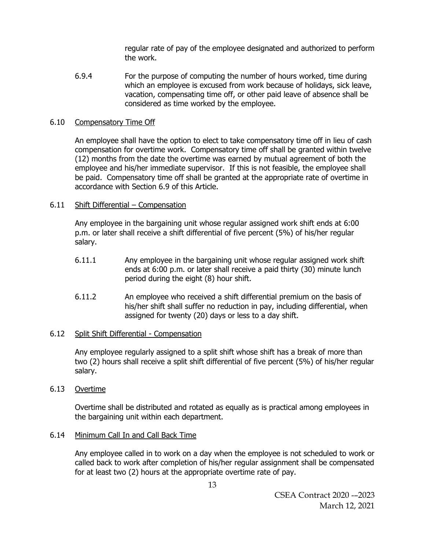regular rate of pay of the employee designated and authorized to perform the work.

6.9.4 For the purpose of computing the number of hours worked, time during which an employee is excused from work because of holidays, sick leave, vacation, compensating time off, or other paid leave of absence shall be considered as time worked by the employee.

### 6.10 Compensatory Time Off

An employee shall have the option to elect to take compensatory time off in lieu of cash compensation for overtime work. Compensatory time off shall be granted within twelve (12) months from the date the overtime was earned by mutual agreement of both the employee and his/her immediate supervisor. If this is not feasible, the employee shall be paid. Compensatory time off shall be granted at the appropriate rate of overtime in accordance with Section 6.9 of this Article.

### 6.11 Shift Differential – Compensation

Any employee in the bargaining unit whose regular assigned work shift ends at 6:00 p.m. or later shall receive a shift differential of five percent (5%) of his/her regular salary.

- 6.11.1 Any employee in the bargaining unit whose regular assigned work shift ends at 6:00 p.m. or later shall receive a paid thirty (30) minute lunch period during the eight (8) hour shift.
- 6.11.2 An employee who received a shift differential premium on the basis of his/her shift shall suffer no reduction in pay, including differential, when assigned for twenty (20) days or less to a day shift.

### 6.12 Split Shift Differential - Compensation

Any employee regularly assigned to a split shift whose shift has a break of more than two (2) hours shall receive a split shift differential of five percent (5%) of his/her regular salary.

### 6.13 Overtime

Overtime shall be distributed and rotated as equally as is practical among employees in the bargaining unit within each department.

### 6.14 Minimum Call In and Call Back Time

Any employee called in to work on a day when the employee is not scheduled to work or called back to work after completion of his/her regular assignment shall be compensated for at least two (2) hours at the appropriate overtime rate of pay.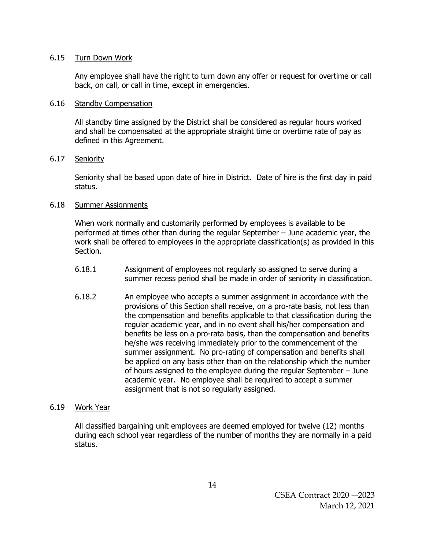### 6.15 Turn Down Work

Any employee shall have the right to turn down any offer or request for overtime or call back, on call, or call in time, except in emergencies.

### 6.16 Standby Compensation

All standby time assigned by the District shall be considered as regular hours worked and shall be compensated at the appropriate straight time or overtime rate of pay as defined in this Agreement.

### 6.17 Seniority

Seniority shall be based upon date of hire in District. Date of hire is the first day in paid status.

### 6.18 Summer Assignments

When work normally and customarily performed by employees is available to be performed at times other than during the regular September – June academic year, the work shall be offered to employees in the appropriate classification(s) as provided in this Section.

- 6.18.1 Assignment of employees not regularly so assigned to serve during a summer recess period shall be made in order of seniority in classification.
- 6.18.2 An employee who accepts a summer assignment in accordance with the provisions of this Section shall receive, on a pro-rate basis, not less than the compensation and benefits applicable to that classification during the regular academic year, and in no event shall his/her compensation and benefits be less on a pro-rata basis, than the compensation and benefits he/she was receiving immediately prior to the commencement of the summer assignment. No pro-rating of compensation and benefits shall be applied on any basis other than on the relationship which the number of hours assigned to the employee during the regular September – June academic year. No employee shall be required to accept a summer assignment that is not so regularly assigned.

## 6.19 Work Year

All classified bargaining unit employees are deemed employed for twelve (12) months during each school year regardless of the number of months they are normally in a paid status.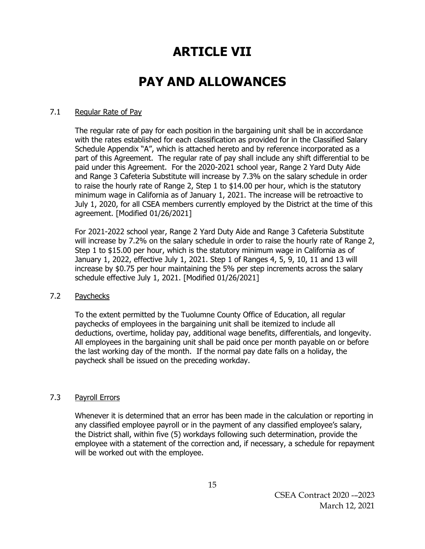# **ARTICLE VII**

## **PAY AND ALLOWANCES**

### 7.1 Regular Rate of Pay

The regular rate of pay for each position in the bargaining unit shall be in accordance with the rates established for each classification as provided for in the Classified Salary Schedule Appendix "A", which is attached hereto and by reference incorporated as a part of this Agreement. The regular rate of pay shall include any shift differential to be paid under this Agreement. For the 2020-2021 school year, Range 2 Yard Duty Aide and Range 3 Cafeteria Substitute will increase by 7.3% on the salary schedule in order to raise the hourly rate of Range 2, Step 1 to \$14.00 per hour, which is the statutory minimum wage in California as of January 1, 2021. The increase will be retroactive to July 1, 2020, for all CSEA members currently employed by the District at the time of this agreement. [Modified 01/26/2021]

For 2021-2022 school year, Range 2 Yard Duty Aide and Range 3 Cafeteria Substitute will increase by 7.2% on the salary schedule in order to raise the hourly rate of Range 2, Step 1 to \$15.00 per hour, which is the statutory minimum wage in California as of January 1, 2022, effective July 1, 2021. Step 1 of Ranges 4, 5, 9, 10, 11 and 13 will increase by \$0.75 per hour maintaining the 5% per step increments across the salary schedule effective July 1, 2021. [Modified 01/26/2021]

### 7.2 Paychecks

To the extent permitted by the Tuolumne County Office of Education, all regular paychecks of employees in the bargaining unit shall be itemized to include all deductions, overtime, holiday pay, additional wage benefits, differentials, and longevity. All employees in the bargaining unit shall be paid once per month payable on or before the last working day of the month. If the normal pay date falls on a holiday, the paycheck shall be issued on the preceding workday.

### 7.3 Payroll Errors

Whenever it is determined that an error has been made in the calculation or reporting in any classified employee payroll or in the payment of any classified employee's salary, the District shall, within five (5) workdays following such determination, provide the employee with a statement of the correction and, if necessary, a schedule for repayment will be worked out with the employee.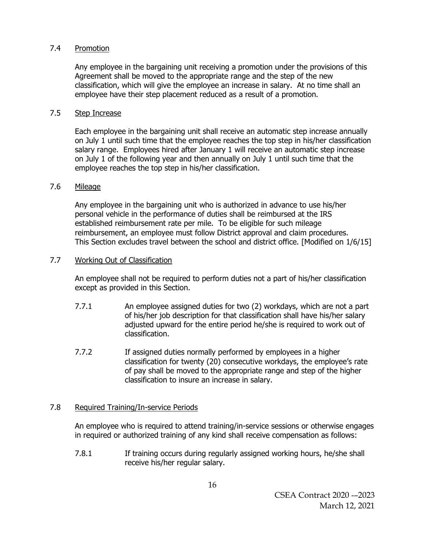### 7.4 Promotion

Any employee in the bargaining unit receiving a promotion under the provisions of this Agreement shall be moved to the appropriate range and the step of the new classification, which will give the employee an increase in salary. At no time shall an employee have their step placement reduced as a result of a promotion.

## 7.5 Step Increase

Each employee in the bargaining unit shall receive an automatic step increase annually on July 1 until such time that the employee reaches the top step in his/her classification salary range. Employees hired after January 1 will receive an automatic step increase on July 1 of the following year and then annually on July 1 until such time that the employee reaches the top step in his/her classification.

## 7.6 Mileage

Any employee in the bargaining unit who is authorized in advance to use his/her personal vehicle in the performance of duties shall be reimbursed at the IRS established reimbursement rate per mile. To be eligible for such mileage reimbursement, an employee must follow District approval and claim procedures. This Section excludes travel between the school and district office. [Modified on 1/6/15]

## 7.7 Working Out of Classification

An employee shall not be required to perform duties not a part of his/her classification except as provided in this Section.

- 7.7.1 An employee assigned duties for two (2) workdays, which are not a part of his/her job description for that classification shall have his/her salary adjusted upward for the entire period he/she is required to work out of classification.
- 7.7.2 If assigned duties normally performed by employees in a higher classification for twenty (20) consecutive workdays, the employee's rate of pay shall be moved to the appropriate range and step of the higher classification to insure an increase in salary.

## 7.8 Required Training/In-service Periods

An employee who is required to attend training/in-service sessions or otherwise engages in required or authorized training of any kind shall receive compensation as follows:

7.8.1 If training occurs during regularly assigned working hours, he/she shall receive his/her regular salary.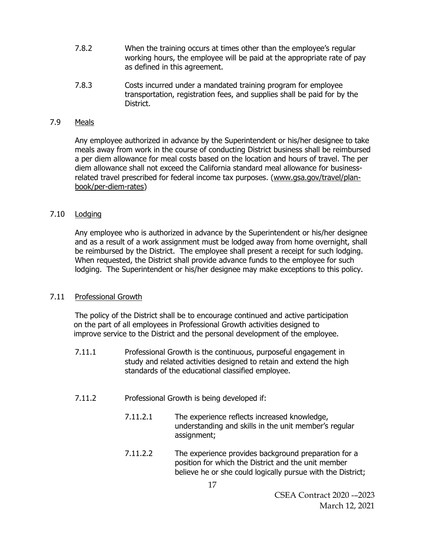- 7.8.2 When the training occurs at times other than the employee's regular working hours, the employee will be paid at the appropriate rate of pay as defined in this agreement.
- 7.8.3 Costs incurred under a mandated training program for employee transportation, registration fees, and supplies shall be paid for by the District.

### 7.9 Meals

Any employee authorized in advance by the Superintendent or his/her designee to take meals away from work in the course of conducting District business shall be reimbursed a per diem allowance for meal costs based on the location and hours of travel. The per diem allowance shall not exceed the California standard meal allowance for businessrelated travel prescribed for federal income tax purposes. [\(www.gsa.gov/travel/plan](http://www.gsa.gov/travel/plan-book/per-diem-rates)[book/per-diem-rates\)](http://www.gsa.gov/travel/plan-book/per-diem-rates)

### 7.10 Lodging

Any employee who is authorized in advance by the Superintendent or his/her designee and as a result of a work assignment must be lodged away from home overnight, shall be reimbursed by the District. The employee shall present a receipt for such lodging. When requested, the District shall provide advance funds to the employee for such lodging. The Superintendent or his/her designee may make exceptions to this policy.

### 7.11 Professional Growth

The policy of the District shall be to encourage continued and active participation on the part of all employees in Professional Growth activities designed to improve service to the District and the personal development of the employee.

- 7.11.1 Professional Growth is the continuous, purposeful engagement in study and related activities designed to retain and extend the high standards of the educational classified employee.
- 7.11.2 Professional Growth is being developed if:
	- 7.11.2.1 The experience reflects increased knowledge, understanding and skills in the unit member's regular assignment;
	- 7.11.2.2 The experience provides background preparation for a position for which the District and the unit member believe he or she could logically pursue with the District;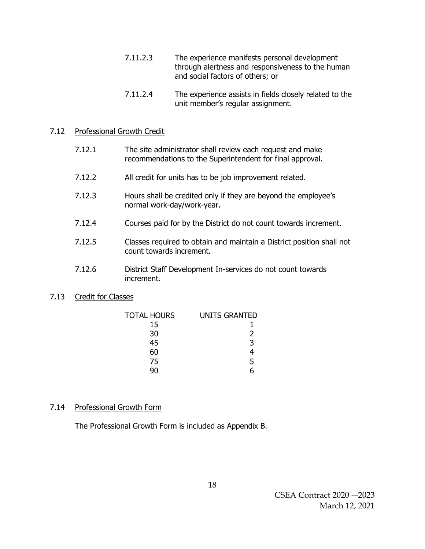- 7.11.2.3 The experience manifests personal development through alertness and responsiveness to the human and social factors of others; or
- 7.11.2.4 The experience assists in fields closely related to the unit member's regular assignment.

### 7.12 Professional Growth Credit

| 7.12.1 | The site administrator shall review each request and make |
|--------|-----------------------------------------------------------|
|        | recommendations to the Superintendent for final approval. |

- 7.12.2 All credit for units has to be job improvement related.
- 7.12.3 Hours shall be credited only if they are beyond the employee's normal work-day/work-year.
- 7.12.4 Courses paid for by the District do not count towards increment.
- 7.12.5 Classes required to obtain and maintain a District position shall not count towards increment.
- 7.12.6 District Staff Development In-services do not count towards increment.

### 7.13 Credit for Classes

| TOTAL HOURS | <b>UNITS GRANTED</b> |
|-------------|----------------------|
| 15          |                      |
| 30          | 2                    |
| 45          | 3                    |
| 60          |                      |
| 75          | 5                    |
| ۹Λ          |                      |

## 7.14 Professional Growth Form

The Professional Growth Form is included as Appendix B.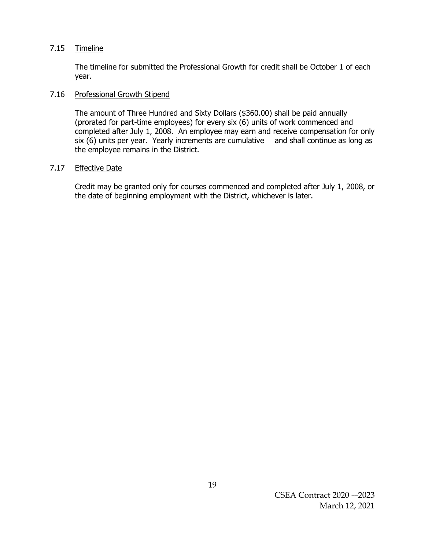### 7.15 Timeline

The timeline for submitted the Professional Growth for credit shall be October 1 of each year.

### 7.16 Professional Growth Stipend

The amount of Three Hundred and Sixty Dollars (\$360.00) shall be paid annually (prorated for part-time employees) for every six (6) units of work commenced and completed after July 1, 2008. An employee may earn and receive compensation for only six (6) units per year. Yearly increments are cumulative and shall continue as long as the employee remains in the District.

## 7.17 Effective Date

Credit may be granted only for courses commenced and completed after July 1, 2008, or the date of beginning employment with the District, whichever is later.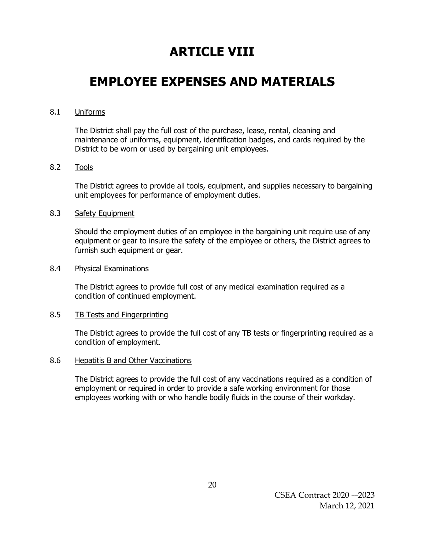# **ARTICLE VIII**

## **EMPLOYEE EXPENSES AND MATERIALS**

### 8.1 Uniforms

The District shall pay the full cost of the purchase, lease, rental, cleaning and maintenance of uniforms, equipment, identification badges, and cards required by the District to be worn or used by bargaining unit employees.

### 8.2 Tools

The District agrees to provide all tools, equipment, and supplies necessary to bargaining unit employees for performance of employment duties.

### 8.3 Safety Equipment

Should the employment duties of an employee in the bargaining unit require use of any equipment or gear to insure the safety of the employee or others, the District agrees to furnish such equipment or gear.

### 8.4 Physical Examinations

The District agrees to provide full cost of any medical examination required as a condition of continued employment.

### 8.5 TB Tests and Fingerprinting

The District agrees to provide the full cost of any TB tests or fingerprinting required as a condition of employment.

### 8.6 Hepatitis B and Other Vaccinations

The District agrees to provide the full cost of any vaccinations required as a condition of employment or required in order to provide a safe working environment for those employees working with or who handle bodily fluids in the course of their workday.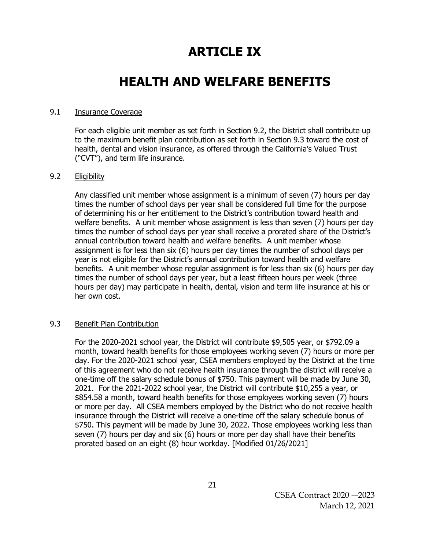# **ARTICLE IX**

## **HEALTH AND WELFARE BENEFITS**

### 9.1 Insurance Coverage

For each eligible unit member as set forth in Section 9.2, the District shall contribute up to the maximum benefit plan contribution as set forth in Section 9.3 toward the cost of health, dental and vision insurance, as offered through the California's Valued Trust ("CVT"), and term life insurance.

### 9.2 Eligibility

Any classified unit member whose assignment is a minimum of seven (7) hours per day times the number of school days per year shall be considered full time for the purpose of determining his or her entitlement to the District's contribution toward health and welfare benefits. A unit member whose assignment is less than seven (7) hours per day times the number of school days per year shall receive a prorated share of the District's annual contribution toward health and welfare benefits. A unit member whose assignment is for less than six (6) hours per day times the number of school days per year is not eligible for the District's annual contribution toward health and welfare benefits. A unit member whose regular assignment is for less than six (6) hours per day times the number of school days per year, but a least fifteen hours per week (three hours per day) may participate in health, dental, vision and term life insurance at his or her own cost.

### 9.3 Benefit Plan Contribution

For the 2020-2021 school year, the District will contribute \$9,505 year, or \$792.09 a month, toward health benefits for those employees working seven (7) hours or more per day. For the 2020-2021 school year, CSEA members employed by the District at the time of this agreement who do not receive health insurance through the district will receive a one-time off the salary schedule bonus of \$750. This payment will be made by June 30, 2021. For the 2021-2022 school year, the District will contribute \$10,255 a year, or \$854.58 a month, toward health benefits for those employees working seven (7) hours or more per day. All CSEA members employed by the District who do not receive health insurance through the District will receive a one-time off the salary schedule bonus of \$750. This payment will be made by June 30, 2022. Those employees working less than seven (7) hours per day and six (6) hours or more per day shall have their benefits prorated based on an eight (8) hour workday. [Modified 01/26/2021]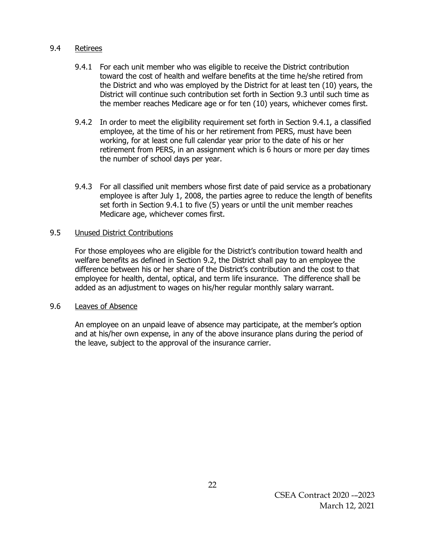### 9.4 Retirees

- 9.4.1 For each unit member who was eligible to receive the District contribution toward the cost of health and welfare benefits at the time he/she retired from the District and who was employed by the District for at least ten (10) years, the District will continue such contribution set forth in Section 9.3 until such time as the member reaches Medicare age or for ten (10) years, whichever comes first.
- 9.4.2 In order to meet the eligibility requirement set forth in Section 9.4.1, a classified employee, at the time of his or her retirement from PERS, must have been working, for at least one full calendar year prior to the date of his or her retirement from PERS, in an assignment which is 6 hours or more per day times the number of school days per year.
- 9.4.3 For all classified unit members whose first date of paid service as a probationary employee is after July 1, 2008, the parties agree to reduce the length of benefits set forth in Section 9.4.1 to five (5) years or until the unit member reaches Medicare age, whichever comes first.

### 9.5 Unused District Contributions

For those employees who are eligible for the District's contribution toward health and welfare benefits as defined in Section 9.2, the District shall pay to an employee the difference between his or her share of the District's contribution and the cost to that employee for health, dental, optical, and term life insurance. The difference shall be added as an adjustment to wages on his/her regular monthly salary warrant.

### 9.6 Leaves of Absence

An employee on an unpaid leave of absence may participate, at the member's option and at his/her own expense, in any of the above insurance plans during the period of the leave, subject to the approval of the insurance carrier.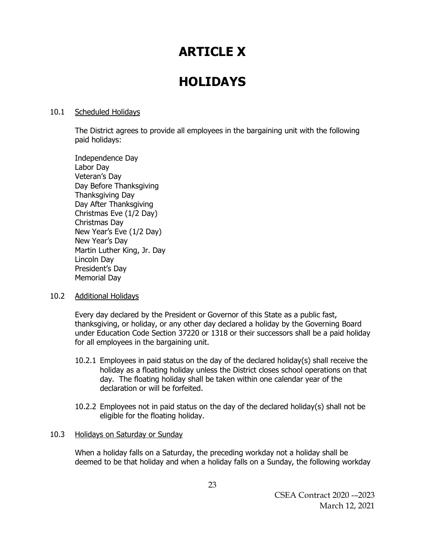# **ARTICLE X**

## **HOLIDAYS**

### 10.1 Scheduled Holidays

The District agrees to provide all employees in the bargaining unit with the following paid holidays:

Independence Day Labor Day Veteran's Day Day Before Thanksgiving Thanksgiving Day Day After Thanksgiving Christmas Eve (1/2 Day) Christmas Day New Year's Eve (1/2 Day) New Year's Day Martin Luther King, Jr. Day Lincoln Day President's Day Memorial Day

### 10.2 Additional Holidays

Every day declared by the President or Governor of this State as a public fast, thanksgiving, or holiday, or any other day declared a holiday by the Governing Board under Education Code Section 37220 or 1318 or their successors shall be a paid holiday for all employees in the bargaining unit.

- 10.2.1 Employees in paid status on the day of the declared holiday(s) shall receive the holiday as a floating holiday unless the District closes school operations on that day. The floating holiday shall be taken within one calendar year of the declaration or will be forfeited.
- 10.2.2 Employees not in paid status on the day of the declared holiday(s) shall not be eligible for the floating holiday.

### 10.3 Holidays on Saturday or Sunday

When a holiday falls on a Saturday, the preceding workday not a holiday shall be deemed to be that holiday and when a holiday falls on a Sunday, the following workday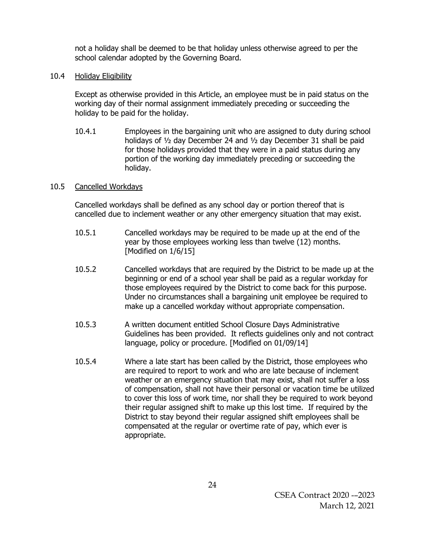not a holiday shall be deemed to be that holiday unless otherwise agreed to per the school calendar adopted by the Governing Board.

### 10.4 Holiday Eligibility

Except as otherwise provided in this Article, an employee must be in paid status on the working day of their normal assignment immediately preceding or succeeding the holiday to be paid for the holiday.

10.4.1 Employees in the bargaining unit who are assigned to duty during school holidays of ½ day December 24 and ½ day December 31 shall be paid for those holidays provided that they were in a paid status during any portion of the working day immediately preceding or succeeding the holiday.

## 10.5 Cancelled Workdays

Cancelled workdays shall be defined as any school day or portion thereof that is cancelled due to inclement weather or any other emergency situation that may exist.

- 10.5.1 Cancelled workdays may be required to be made up at the end of the year by those employees working less than twelve (12) months. [Modified on 1/6/15]
- 10.5.2 Cancelled workdays that are required by the District to be made up at the beginning or end of a school year shall be paid as a regular workday for those employees required by the District to come back for this purpose. Under no circumstances shall a bargaining unit employee be required to make up a cancelled workday without appropriate compensation.
- 10.5.3 A written document entitled School Closure Days Administrative Guidelines has been provided. It reflects guidelines only and not contract language, policy or procedure. [Modified on 01/09/14]
- 10.5.4 Where a late start has been called by the District, those employees who are required to report to work and who are late because of inclement weather or an emergency situation that may exist, shall not suffer a loss of compensation, shall not have their personal or vacation time be utilized to cover this loss of work time, nor shall they be required to work beyond their regular assigned shift to make up this lost time. If required by the District to stay beyond their regular assigned shift employees shall be compensated at the regular or overtime rate of pay, which ever is appropriate.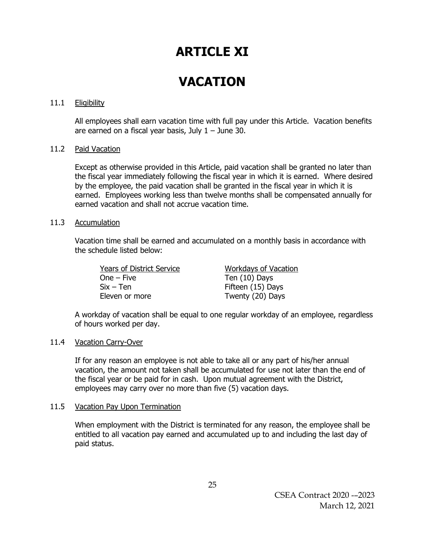## **ARTICLE XI**

# **VACATION**

### 11.1 Eligibility

All employees shall earn vacation time with full pay under this Article. Vacation benefits are earned on a fiscal year basis, July  $1 -$  June 30.

### 11.2 Paid Vacation

Except as otherwise provided in this Article, paid vacation shall be granted no later than the fiscal year immediately following the fiscal year in which it is earned. Where desired by the employee, the paid vacation shall be granted in the fiscal year in which it is earned. Employees working less than twelve months shall be compensated annually for earned vacation and shall not accrue vacation time.

### 11.3 Accumulation

Vacation time shall be earned and accumulated on a monthly basis in accordance with the schedule listed below:

Years of District Service Workdays of Vacation One – Five Ten (10) Days  $Six - Ten$  Fifteen (15) Days Eleven or more Twenty (20) Days

A workday of vacation shall be equal to one regular workday of an employee, regardless of hours worked per day.

### 11.4 Vacation Carry-Over

If for any reason an employee is not able to take all or any part of his/her annual vacation, the amount not taken shall be accumulated for use not later than the end of the fiscal year or be paid for in cash. Upon mutual agreement with the District, employees may carry over no more than five (5) vacation days.

### 11.5 Vacation Pay Upon Termination

When employment with the District is terminated for any reason, the employee shall be entitled to all vacation pay earned and accumulated up to and including the last day of paid status.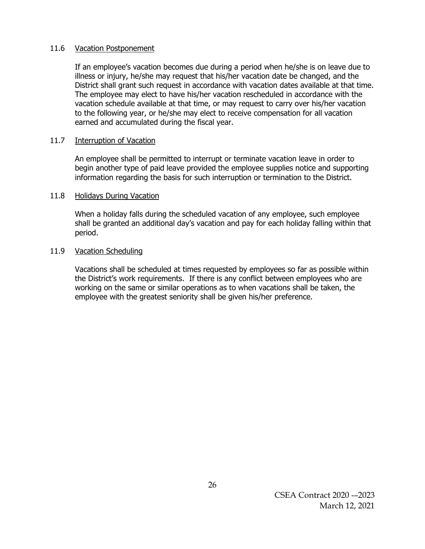### 11.6 Vacation Postponement

If an employee's vacation becomes due during a period when he/she is on leave due to illness or injury, he/she may request that his/her vacation date be changed, and the District shall grant such request in accordance with vacation dates available at that time. The employee may elect to have his/her vacation rescheduled in accordance with the vacation schedule available at that time, or may request to carry over his/her vacation to the following year, or he/she may elect to receive compensation for all vacation earned and accumulated during the fiscal year.

### 11.7 Interruption of Vacation

An employee shall be permitted to interrupt or terminate vacation leave in order to begin another type of paid leave provided the employee supplies notice and supporting information regarding the basis for such interruption or termination to the District.

### 11.8 Holidays During Vacation

When a holiday falls during the scheduled vacation of any employee, such employee shall be granted an additional day's vacation and pay for each holiday falling within that period.

### 11.9 Vacation Scheduling

Vacations shall be scheduled at times requested by employees so far as possible within the District's work requirements. If there is any conflict between employees who are working on the same or similar operations as to when vacations shall be taken, the employee with the greatest seniority shall be given his/her preference.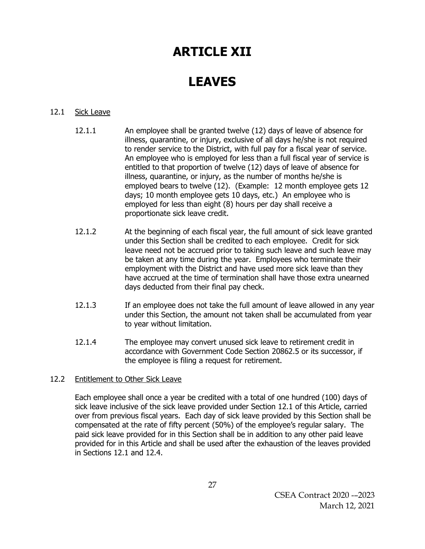# **ARTICLE XII**

# **LEAVES**

## 12.1 Sick Leave

- 12.1.1 An employee shall be granted twelve (12) days of leave of absence for illness, quarantine, or injury, exclusive of all days he/she is not required to render service to the District, with full pay for a fiscal year of service. An employee who is employed for less than a full fiscal year of service is entitled to that proportion of twelve (12) days of leave of absence for illness, quarantine, or injury, as the number of months he/she is employed bears to twelve (12). (Example: 12 month employee gets 12 days; 10 month employee gets 10 days, etc.) An employee who is employed for less than eight (8) hours per day shall receive a proportionate sick leave credit.
- 12.1.2 At the beginning of each fiscal year, the full amount of sick leave granted under this Section shall be credited to each employee. Credit for sick leave need not be accrued prior to taking such leave and such leave may be taken at any time during the year. Employees who terminate their employment with the District and have used more sick leave than they have accrued at the time of termination shall have those extra unearned days deducted from their final pay check.
- 12.1.3 If an employee does not take the full amount of leave allowed in any year under this Section, the amount not taken shall be accumulated from year to year without limitation.
- 12.1.4 The employee may convert unused sick leave to retirement credit in accordance with Government Code Section 20862.5 or its successor, if the employee is filing a request for retirement.

### 12.2 Entitlement to Other Sick Leave

Each employee shall once a year be credited with a total of one hundred (100) days of sick leave inclusive of the sick leave provided under Section 12.1 of this Article, carried over from previous fiscal years. Each day of sick leave provided by this Section shall be compensated at the rate of fifty percent (50%) of the employee's regular salary. The paid sick leave provided for in this Section shall be in addition to any other paid leave provided for in this Article and shall be used after the exhaustion of the leaves provided in Sections 12.1 and 12.4.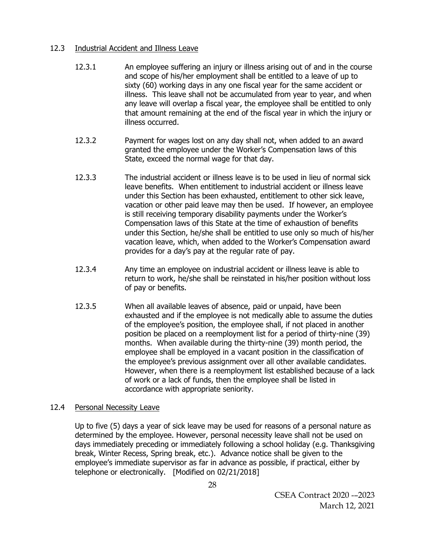## 12.3 Industrial Accident and Illness Leave

- 12.3.1 An employee suffering an injury or illness arising out of and in the course and scope of his/her employment shall be entitled to a leave of up to sixty (60) working days in any one fiscal year for the same accident or illness. This leave shall not be accumulated from year to year, and when any leave will overlap a fiscal year, the employee shall be entitled to only that amount remaining at the end of the fiscal year in which the injury or illness occurred.
- 12.3.2 Payment for wages lost on any day shall not, when added to an award granted the employee under the Worker's Compensation laws of this State, exceed the normal wage for that day.
- 12.3.3 The industrial accident or illness leave is to be used in lieu of normal sick leave benefits. When entitlement to industrial accident or illness leave under this Section has been exhausted, entitlement to other sick leave, vacation or other paid leave may then be used. If however, an employee is still receiving temporary disability payments under the Worker's Compensation laws of this State at the time of exhaustion of benefits under this Section, he/she shall be entitled to use only so much of his/her vacation leave, which, when added to the Worker's Compensation award provides for a day's pay at the regular rate of pay.
- 12.3.4 Any time an employee on industrial accident or illness leave is able to return to work, he/she shall be reinstated in his/her position without loss of pay or benefits.
- 12.3.5 When all available leaves of absence, paid or unpaid, have been exhausted and if the employee is not medically able to assume the duties of the employee's position, the employee shall, if not placed in another position be placed on a reemployment list for a period of thirty-nine (39) months. When available during the thirty-nine (39) month period, the employee shall be employed in a vacant position in the classification of the employee's previous assignment over all other available candidates. However, when there is a reemployment list established because of a lack of work or a lack of funds, then the employee shall be listed in accordance with appropriate seniority.

## 12.4 Personal Necessity Leave

Up to five (5) days a year of sick leave may be used for reasons of a personal nature as determined by the employee. However, personal necessity leave shall not be used on days immediately preceding or immediately following a school holiday (e.g. Thanksgiving break, Winter Recess, Spring break, etc.). Advance notice shall be given to the employee's immediate supervisor as far in advance as possible, if practical, either by telephone or electronically. [Modified on 02/21/2018]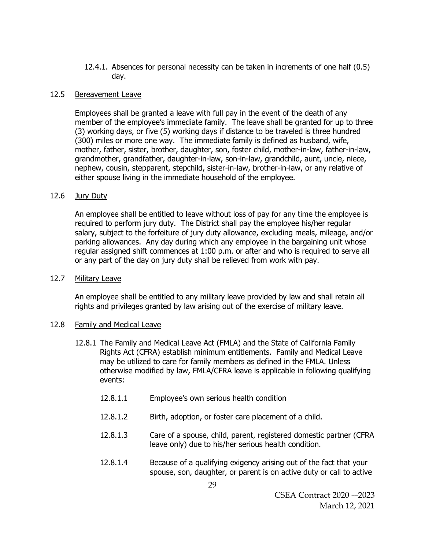12.4.1. Absences for personal necessity can be taken in increments of one half (0.5) day.

### 12.5 Bereavement Leave

Employees shall be granted a leave with full pay in the event of the death of any member of the employee's immediate family. The leave shall be granted for up to three (3) working days, or five (5) working days if distance to be traveled is three hundred (300) miles or more one way. The immediate family is defined as husband, wife, mother, father, sister, brother, daughter, son, foster child, mother-in-law, father-in-law, grandmother, grandfather, daughter-in-law, son-in-law, grandchild, aunt, uncle, niece, nephew, cousin, stepparent, stepchild, sister-in-law, brother-in-law, or any relative of either spouse living in the immediate household of the employee.

### 12.6 Jury Duty

An employee shall be entitled to leave without loss of pay for any time the employee is required to perform jury duty. The District shall pay the employee his/her regular salary, subject to the forfeiture of jury duty allowance, excluding meals, mileage, and/or parking allowances. Any day during which any employee in the bargaining unit whose regular assigned shift commences at 1:00 p.m. or after and who is required to serve all or any part of the day on jury duty shall be relieved from work with pay.

### 12.7 Military Leave

An employee shall be entitled to any military leave provided by law and shall retain all rights and privileges granted by law arising out of the exercise of military leave.

### 12.8 Family and Medical Leave

- 12.8.1 The Family and Medical Leave Act (FMLA) and the State of California Family Rights Act (CFRA) establish minimum entitlements. Family and Medical Leave may be utilized to care for family members as defined in the FMLA. Unless otherwise modified by law, FMLA/CFRA leave is applicable in following qualifying events:
	- 12.8.1.1 Employee's own serious health condition
	- 12.8.1.2 Birth, adoption, or foster care placement of a child.
	- 12.8.1.3 Care of a spouse, child, parent, registered domestic partner (CFRA leave only) due to his/her serious health condition.
	- 12.8.1.4 Because of a qualifying exigency arising out of the fact that your spouse, son, daughter, or parent is on active duty or call to active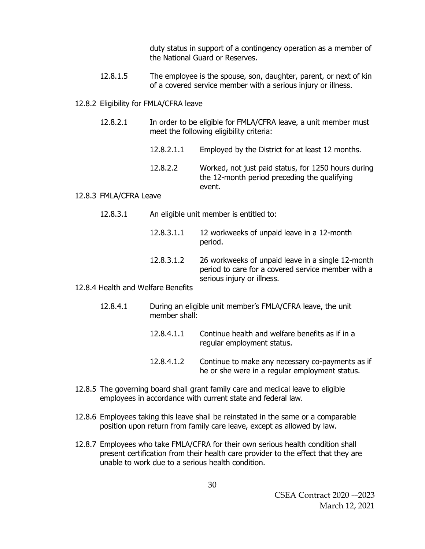duty status in support of a contingency operation as a member of the National Guard or Reserves.

12.8.1.5 The employee is the spouse, son, daughter, parent, or next of kin of a covered service member with a serious injury or illness.

### 12.8.2 Eligibility for FMLA/CFRA leave

- 12.8.2.1 In order to be eligible for FMLA/CFRA leave, a unit member must meet the following eligibility criteria:
	- 12.8.2.1.1 Employed by the District for at least 12 months.
	- 12.8.2.2 Worked, not just paid status, for 1250 hours during the 12-month period preceding the qualifying event.

### 12.8.3 FMLA/CFRA Leave

- 12.8.3.1 An eligible unit member is entitled to:
	- 12.8.3.1.1 12 workweeks of unpaid leave in a 12-month period.
	- 12.8.3.1.2 26 workweeks of unpaid leave in a single 12-month period to care for a covered service member with a serious injury or illness.

### 12.8.4 Health and Welfare Benefits

- 12.8.4.1 During an eligible unit member's FMLA/CFRA leave, the unit member shall:
	- 12.8.4.1.1 Continue health and welfare benefits as if in a regular employment status.
	- 12.8.4.1.2 Continue to make any necessary co-payments as if he or she were in a regular employment status.
- 12.8.5 The governing board shall grant family care and medical leave to eligible employees in accordance with current state and federal law.
- 12.8.6 Employees taking this leave shall be reinstated in the same or a comparable position upon return from family care leave, except as allowed by law.
- 12.8.7 Employees who take FMLA/CFRA for their own serious health condition shall present certification from their health care provider to the effect that they are unable to work due to a serious health condition.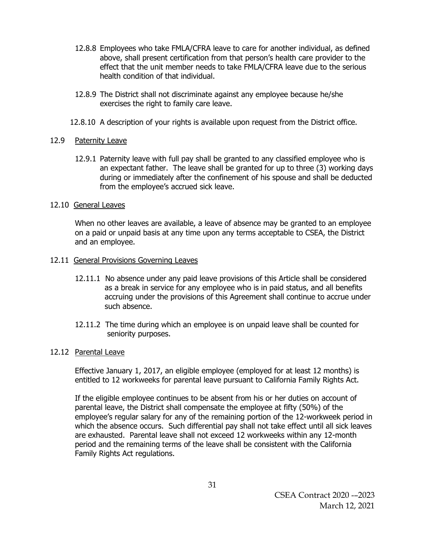- 12.8.8 Employees who take FMLA/CFRA leave to care for another individual, as defined above, shall present certification from that person's health care provider to the effect that the unit member needs to take FMLA/CFRA leave due to the serious health condition of that individual.
- 12.8.9 The District shall not discriminate against any employee because he/she exercises the right to family care leave.
- 12.8.10 A description of your rights is available upon request from the District office.

## 12.9 Paternity Leave

12.9.1 Paternity leave with full pay shall be granted to any classified employee who is an expectant father. The leave shall be granted for up to three (3) working days during or immediately after the confinement of his spouse and shall be deducted from the employee's accrued sick leave.

## 12.10 General Leaves

When no other leaves are available, a leave of absence may be granted to an employee on a paid or unpaid basis at any time upon any terms acceptable to CSEA, the District and an employee.

### 12.11 General Provisions Governing Leaves

- 12.11.1 No absence under any paid leave provisions of this Article shall be considered as a break in service for any employee who is in paid status, and all benefits accruing under the provisions of this Agreement shall continue to accrue under such absence.
- 12.11.2 The time during which an employee is on unpaid leave shall be counted for seniority purposes.

### 12.12 Parental Leave

Effective January 1, 2017, an eligible employee (employed for at least 12 months) is entitled to 12 workweeks for parental leave pursuant to California Family Rights Act.

If the eligible employee continues to be absent from his or her duties on account of parental leave, the District shall compensate the employee at fifty (50%) of the employee's regular salary for any of the remaining portion of the 12-workweek period in which the absence occurs. Such differential pay shall not take effect until all sick leaves are exhausted. Parental leave shall not exceed 12 workweeks within any 12-month period and the remaining terms of the leave shall be consistent with the California Family Rights Act regulations.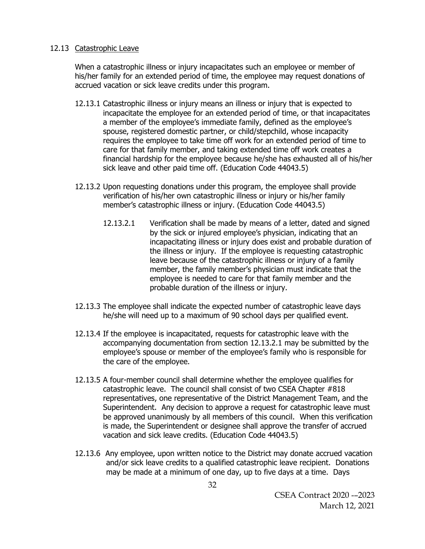### 12.13 Catastrophic Leave

When a catastrophic illness or injury incapacitates such an employee or member of his/her family for an extended period of time, the employee may request donations of accrued vacation or sick leave credits under this program.

- 12.13.1 Catastrophic illness or injury means an illness or injury that is expected to incapacitate the employee for an extended period of time, or that incapacitates a member of the employee's immediate family, defined as the employee's spouse, registered domestic partner, or child/stepchild, whose incapacity requires the employee to take time off work for an extended period of time to care for that family member, and taking extended time off work creates a financial hardship for the employee because he/she has exhausted all of his/her sick leave and other paid time off. (Education Code 44043.5)
- 12.13.2 Upon requesting donations under this program, the employee shall provide verification of his/her own catastrophic illness or injury or his/her family member's catastrophic illness or injury. (Education Code 44043.5)
	- 12.13.2.1 Verification shall be made by means of a letter, dated and signed by the sick or injured employee's physician, indicating that an incapacitating illness or injury does exist and probable duration of the illness or injury. If the employee is requesting catastrophic leave because of the catastrophic illness or injury of a family member, the family member's physician must indicate that the employee is needed to care for that family member and the probable duration of the illness or injury.
- 12.13.3 The employee shall indicate the expected number of catastrophic leave days he/she will need up to a maximum of 90 school days per qualified event.
- 12.13.4 If the employee is incapacitated, requests for catastrophic leave with the accompanying documentation from section 12.13.2.1 may be submitted by the employee's spouse or member of the employee's family who is responsible for the care of the employee.
- 12.13.5 A four-member council shall determine whether the employee qualifies for catastrophic leave. The council shall consist of two CSEA Chapter #818 representatives, one representative of the District Management Team, and the Superintendent. Any decision to approve a request for catastrophic leave must be approved unanimously by all members of this council. When this verification is made, the Superintendent or designee shall approve the transfer of accrued vacation and sick leave credits. (Education Code 44043.5)
- 12.13.6 Any employee, upon written notice to the District may donate accrued vacation and/or sick leave credits to a qualified catastrophic leave recipient. Donations may be made at a minimum of one day, up to five days at a time. Days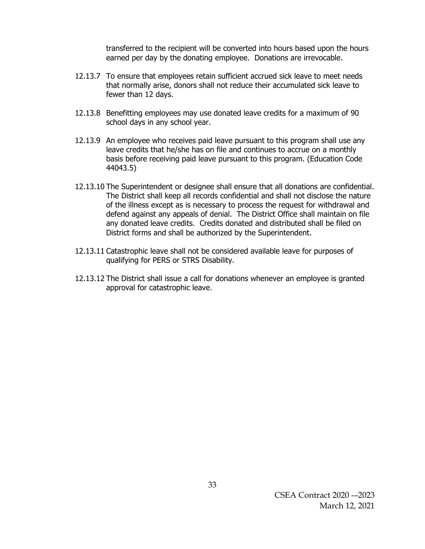transferred to the recipient will be converted into hours based upon the hours earned per day by the donating employee. Donations are irrevocable.

- 12.13.7 To ensure that employees retain sufficient accrued sick leave to meet needs that normally arise, donors shall not reduce their accumulated sick leave to fewer than 12 days.
- 12.13.8 Benefitting employees may use donated leave credits for a maximum of 90 school days in any school year.
- 12.13.9 An employee who receives paid leave pursuant to this program shall use any leave credits that he/she has on file and continues to accrue on a monthly basis before receiving paid leave pursuant to this program. (Education Code 44043.5)
- 12.13.10 The Superintendent or designee shall ensure that all donations are confidential. The District shall keep all records confidential and shall not disclose the nature of the illness except as is necessary to process the request for withdrawal and defend against any appeals of denial. The District Office shall maintain on file any donated leave credits. Credits donated and distributed shall be filed on District forms and shall be authorized by the Superintendent.
- 12.13.11 Catastrophic leave shall not be considered available leave for purposes of qualifying for PERS or STRS Disability.
- 12.13.12 The District shall issue a call for donations whenever an employee is granted approval for catastrophic leave.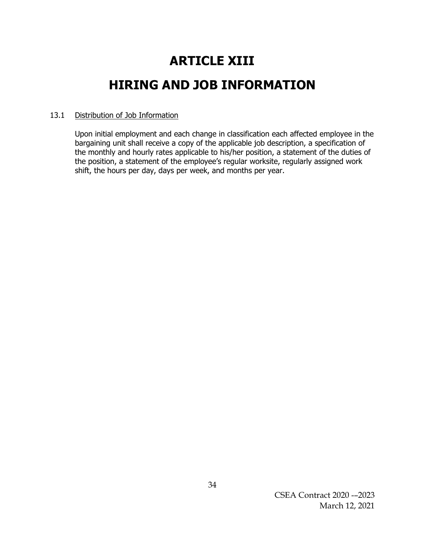# **ARTICLE XIII HIRING AND JOB INFORMATION**

## 13.1 Distribution of Job Information

Upon initial employment and each change in classification each affected employee in the bargaining unit shall receive a copy of the applicable job description, a specification of the monthly and hourly rates applicable to his/her position, a statement of the duties of the position, a statement of the employee's regular worksite, regularly assigned work shift, the hours per day, days per week, and months per year.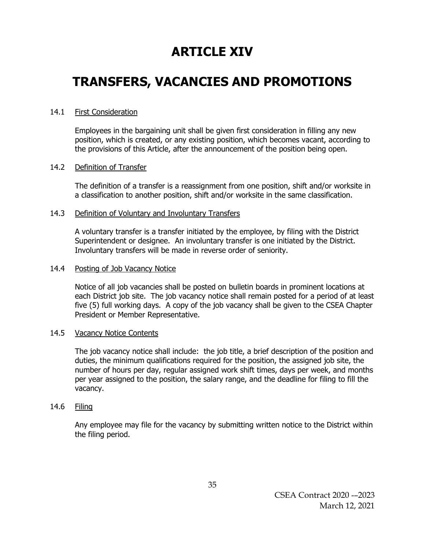# **ARTICLE XIV**

## **TRANSFERS, VACANCIES AND PROMOTIONS**

### 14.1 First Consideration

Employees in the bargaining unit shall be given first consideration in filling any new position, which is created, or any existing position, which becomes vacant, according to the provisions of this Article, after the announcement of the position being open.

### 14.2 Definition of Transfer

The definition of a transfer is a reassignment from one position, shift and/or worksite in a classification to another position, shift and/or worksite in the same classification.

### 14.3 Definition of Voluntary and Involuntary Transfers

A voluntary transfer is a transfer initiated by the employee, by filing with the District Superintendent or designee. An involuntary transfer is one initiated by the District. Involuntary transfers will be made in reverse order of seniority.

### 14.4 Posting of Job Vacancy Notice

Notice of all job vacancies shall be posted on bulletin boards in prominent locations at each District job site. The job vacancy notice shall remain posted for a period of at least five (5) full working days. A copy of the job vacancy shall be given to the CSEA Chapter President or Member Representative.

### 14.5 Vacancy Notice Contents

The job vacancy notice shall include: the job title, a brief description of the position and duties, the minimum qualifications required for the position, the assigned job site, the number of hours per day, regular assigned work shift times, days per week, and months per year assigned to the position, the salary range, and the deadline for filing to fill the vacancy.

### 14.6 Filing

Any employee may file for the vacancy by submitting written notice to the District within the filing period.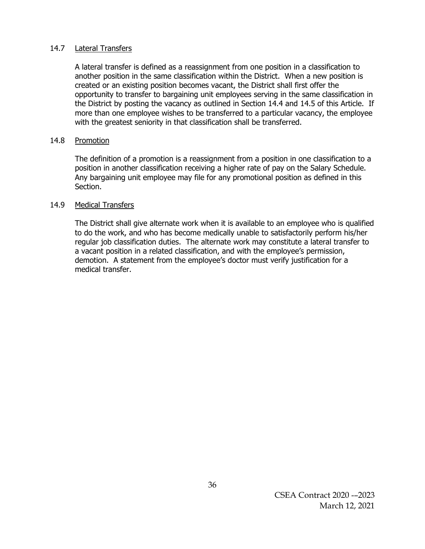### 14.7 Lateral Transfers

A lateral transfer is defined as a reassignment from one position in a classification to another position in the same classification within the District. When a new position is created or an existing position becomes vacant, the District shall first offer the opportunity to transfer to bargaining unit employees serving in the same classification in the District by posting the vacancy as outlined in Section 14.4 and 14.5 of this Article. If more than one employee wishes to be transferred to a particular vacancy, the employee with the greatest seniority in that classification shall be transferred.

### 14.8 Promotion

The definition of a promotion is a reassignment from a position in one classification to a position in another classification receiving a higher rate of pay on the Salary Schedule. Any bargaining unit employee may file for any promotional position as defined in this Section.

### 14.9 Medical Transfers

The District shall give alternate work when it is available to an employee who is qualified to do the work, and who has become medically unable to satisfactorily perform his/her regular job classification duties. The alternate work may constitute a lateral transfer to a vacant position in a related classification, and with the employee's permission, demotion. A statement from the employee's doctor must verify justification for a medical transfer.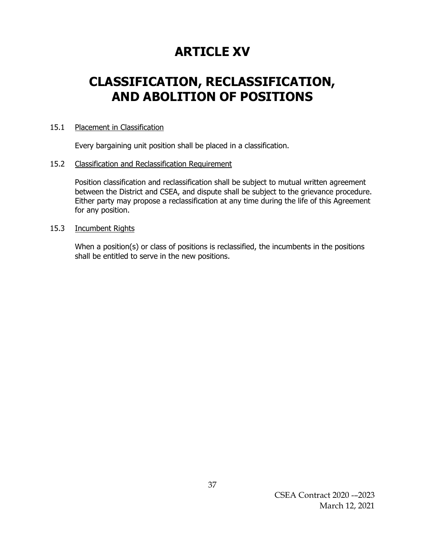## **ARTICLE XV**

## **CLASSIFICATION, RECLASSIFICATION, AND ABOLITION OF POSITIONS**

### 15.1 Placement in Classification

Every bargaining unit position shall be placed in a classification.

### 15.2 Classification and Reclassification Requirement

Position classification and reclassification shall be subject to mutual written agreement between the District and CSEA, and dispute shall be subject to the grievance procedure. Either party may propose a reclassification at any time during the life of this Agreement for any position.

### 15.3 Incumbent Rights

When a position(s) or class of positions is reclassified, the incumbents in the positions shall be entitled to serve in the new positions.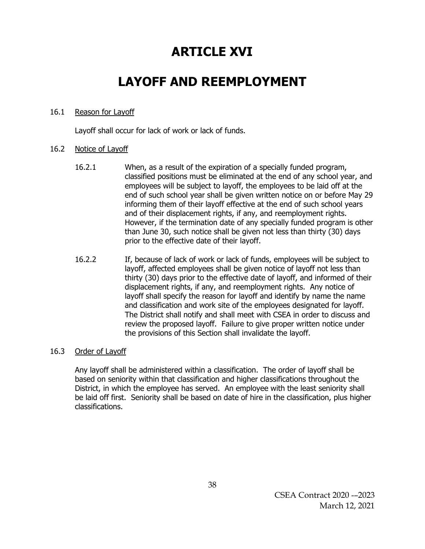## **ARTICLE XVI**

## **LAYOFF AND REEMPLOYMENT**

### 16.1 Reason for Layoff

Layoff shall occur for lack of work or lack of funds.

### 16.2 Notice of Layoff

- 16.2.1 When, as a result of the expiration of a specially funded program, classified positions must be eliminated at the end of any school year, and employees will be subject to layoff, the employees to be laid off at the end of such school year shall be given written notice on or before May 29 informing them of their layoff effective at the end of such school years and of their displacement rights, if any, and reemployment rights. However, if the termination date of any specially funded program is other than June 30, such notice shall be given not less than thirty (30) days prior to the effective date of their layoff.
- 16.2.2 If, because of lack of work or lack of funds, employees will be subject to layoff, affected employees shall be given notice of layoff not less than thirty (30) days prior to the effective date of layoff, and informed of their displacement rights, if any, and reemployment rights. Any notice of layoff shall specify the reason for layoff and identify by name the name and classification and work site of the employees designated for layoff. The District shall notify and shall meet with CSEA in order to discuss and review the proposed layoff. Failure to give proper written notice under the provisions of this Section shall invalidate the layoff.

### 16.3 Order of Layoff

Any layoff shall be administered within a classification. The order of layoff shall be based on seniority within that classification and higher classifications throughout the District, in which the employee has served. An employee with the least seniority shall be laid off first. Seniority shall be based on date of hire in the classification, plus higher classifications.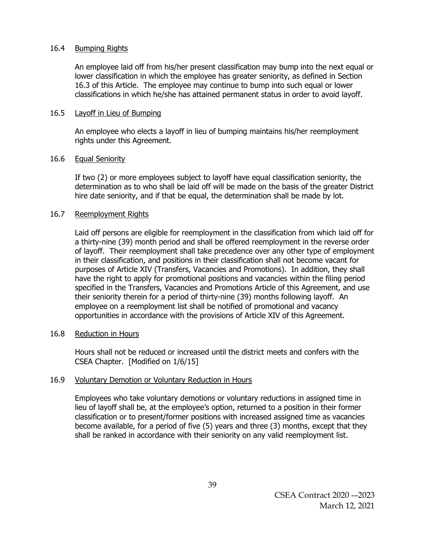### 16.4 Bumping Rights

An employee laid off from his/her present classification may bump into the next equal or lower classification in which the employee has greater seniority, as defined in Section 16.3 of this Article. The employee may continue to bump into such equal or lower classifications in which he/she has attained permanent status in order to avoid layoff.

### 16.5 Layoff in Lieu of Bumping

An employee who elects a layoff in lieu of bumping maintains his/her reemployment rights under this Agreement.

### 16.6 Equal Seniority

If two (2) or more employees subject to layoff have equal classification seniority, the determination as to who shall be laid off will be made on the basis of the greater District hire date seniority, and if that be equal, the determination shall be made by lot.

### 16.7 Reemployment Rights

Laid off persons are eligible for reemployment in the classification from which laid off for a thirty-nine (39) month period and shall be offered reemployment in the reverse order of layoff. Their reemployment shall take precedence over any other type of employment in their classification, and positions in their classification shall not become vacant for purposes of Article XIV (Transfers, Vacancies and Promotions). In addition, they shall have the right to apply for promotional positions and vacancies within the filing period specified in the Transfers, Vacancies and Promotions Article of this Agreement, and use their seniority therein for a period of thirty-nine (39) months following layoff. An employee on a reemployment list shall be notified of promotional and vacancy opportunities in accordance with the provisions of Article XIV of this Agreement.

### 16.8 Reduction in Hours

Hours shall not be reduced or increased until the district meets and confers with the CSEA Chapter. [Modified on 1/6/15]

### 16.9 Voluntary Demotion or Voluntary Reduction in Hours

Employees who take voluntary demotions or voluntary reductions in assigned time in lieu of layoff shall be, at the employee's option, returned to a position in their former classification or to present/former positions with increased assigned time as vacancies become available, for a period of five (5) years and three (3) months, except that they shall be ranked in accordance with their seniority on any valid reemployment list.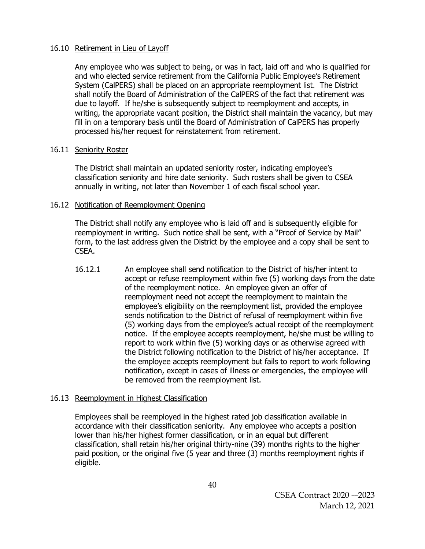### 16.10 Retirement in Lieu of Layoff

Any employee who was subject to being, or was in fact, laid off and who is qualified for and who elected service retirement from the California Public Employee's Retirement System (CalPERS) shall be placed on an appropriate reemployment list. The District shall notify the Board of Administration of the CalPERS of the fact that retirement was due to layoff. If he/she is subsequently subject to reemployment and accepts, in writing, the appropriate vacant position, the District shall maintain the vacancy, but may fill in on a temporary basis until the Board of Administration of CalPERS has properly processed his/her request for reinstatement from retirement.

### 16.11 Seniority Roster

The District shall maintain an updated seniority roster, indicating employee's classification seniority and hire date seniority. Such rosters shall be given to CSEA annually in writing, not later than November 1 of each fiscal school year.

### 16.12 Notification of Reemployment Opening

The District shall notify any employee who is laid off and is subsequently eligible for reemployment in writing. Such notice shall be sent, with a "Proof of Service by Mail" form, to the last address given the District by the employee and a copy shall be sent to CSEA.

16.12.1 An employee shall send notification to the District of his/her intent to accept or refuse reemployment within five (5) working days from the date of the reemployment notice. An employee given an offer of reemployment need not accept the reemployment to maintain the employee's eligibility on the reemployment list, provided the employee sends notification to the District of refusal of reemployment within five (5) working days from the employee's actual receipt of the reemployment notice. If the employee accepts reemployment, he/she must be willing to report to work within five (5) working days or as otherwise agreed with the District following notification to the District of his/her acceptance. If the employee accepts reemployment but fails to report to work following notification, except in cases of illness or emergencies, the employee will be removed from the reemployment list.

### 16.13 Reemployment in Highest Classification

Employees shall be reemployed in the highest rated job classification available in accordance with their classification seniority. Any employee who accepts a position lower than his/her highest former classification, or in an equal but different classification, shall retain his/her original thirty-nine (39) months rights to the higher paid position, or the original five (5 year and three (3) months reemployment rights if eligible.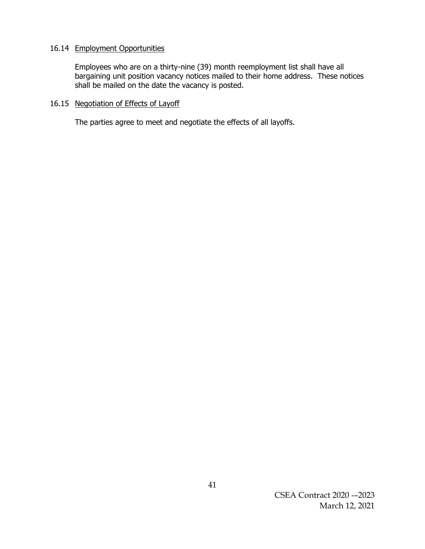### 16.14 Employment Opportunities

Employees who are on a thirty-nine (39) month reemployment list shall have all bargaining unit position vacancy notices mailed to their home address. These notices shall be mailed on the date the vacancy is posted.

## 16.15 Negotiation of Effects of Layoff

The parties agree to meet and negotiate the effects of all layoffs.

CSEA Contract 2020 -–2023 March 12, 2021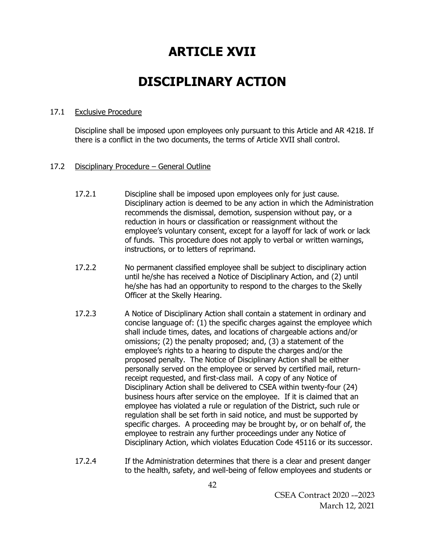## **ARTICLE XVII**

## **DISCIPLINARY ACTION**

### 17.1 Exclusive Procedure

Discipline shall be imposed upon employees only pursuant to this Article and AR 4218. If there is a conflict in the two documents, the terms of Article XVII shall control.

## 17.2 Disciplinary Procedure – General Outline

- 17.2.1 Discipline shall be imposed upon employees only for just cause. Disciplinary action is deemed to be any action in which the Administration recommends the dismissal, demotion, suspension without pay, or a reduction in hours or classification or reassignment without the employee's voluntary consent, except for a layoff for lack of work or lack of funds. This procedure does not apply to verbal or written warnings, instructions, or to letters of reprimand.
- 17.2.2 No permanent classified employee shall be subject to disciplinary action until he/she has received a Notice of Disciplinary Action, and (2) until he/she has had an opportunity to respond to the charges to the Skelly Officer at the Skelly Hearing.
- 17.2.3 A Notice of Disciplinary Action shall contain a statement in ordinary and concise language of: (1) the specific charges against the employee which shall include times, dates, and locations of chargeable actions and/or omissions; (2) the penalty proposed; and, (3) a statement of the employee's rights to a hearing to dispute the charges and/or the proposed penalty. The Notice of Disciplinary Action shall be either personally served on the employee or served by certified mail, returnreceipt requested, and first-class mail. A copy of any Notice of Disciplinary Action shall be delivered to CSEA within twenty-four (24) business hours after service on the employee. If it is claimed that an employee has violated a rule or regulation of the District, such rule or regulation shall be set forth in said notice, and must be supported by specific charges. A proceeding may be brought by, or on behalf of, the employee to restrain any further proceedings under any Notice of Disciplinary Action, which violates Education Code 45116 or its successor.
- 17.2.4 If the Administration determines that there is a clear and present danger to the health, safety, and well-being of fellow employees and students or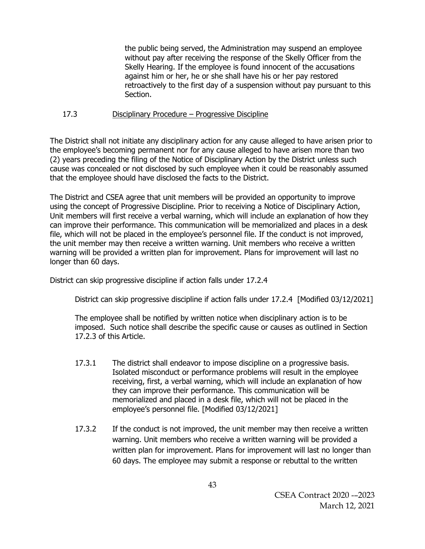the public being served, the Administration may suspend an employee without pay after receiving the response of the Skelly Officer from the Skelly Hearing. If the employee is found innocent of the accusations against him or her, he or she shall have his or her pay restored retroactively to the first day of a suspension without pay pursuant to this Section.

### 17.3 Disciplinary Procedure – Progressive Discipline

The District shall not initiate any disciplinary action for any cause alleged to have arisen prior to the employee's becoming permanent nor for any cause alleged to have arisen more than two (2) years preceding the filing of the Notice of Disciplinary Action by the District unless such cause was concealed or not disclosed by such employee when it could be reasonably assumed that the employee should have disclosed the facts to the District.

The District and CSEA agree that unit members will be provided an opportunity to improve using the concept of Progressive Discipline. Prior to receiving a Notice of Disciplinary Action, Unit members will first receive a verbal warning, which will include an explanation of how they can improve their performance. This communication will be memorialized and places in a desk file, which will not be placed in the employee's personnel file. If the conduct is not improved, the unit member may then receive a written warning. Unit members who receive a written warning will be provided a written plan for improvement. Plans for improvement will last no longer than 60 days.

District can skip progressive discipline if action falls under 17.2.4

District can skip progressive discipline if action falls under 17.2.4 [Modified 03/12/2021]

The employee shall be notified by written notice when disciplinary action is to be imposed. Such notice shall describe the specific cause or causes as outlined in Section 17.2.3 of this Article.

- 17.3.1 The district shall endeavor to impose discipline on a progressive basis. Isolated misconduct or performance problems will result in the employee receiving, first, a verbal warning, which will include an explanation of how they can improve their performance. This communication will be memorialized and placed in a desk file, which will not be placed in the employee's personnel file. [Modified 03/12/2021]
- 17.3.2 If the conduct is not improved, the unit member may then receive a written warning. Unit members who receive a written warning will be provided a written plan for improvement. Plans for improvement will last no longer than 60 days. The employee may submit a response or rebuttal to the written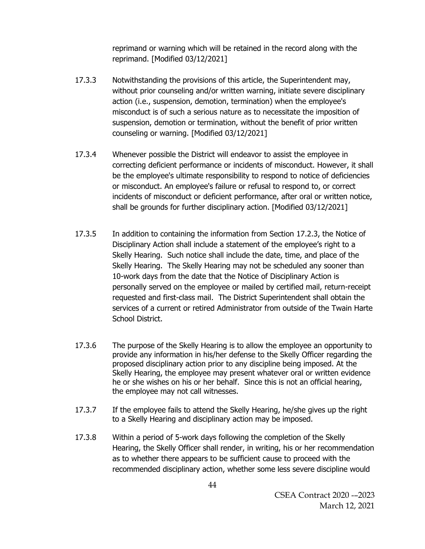reprimand or warning which will be retained in the record along with the reprimand. [Modified 03/12/2021]

- 17.3.3 Notwithstanding the provisions of this article, the Superintendent may, without prior counseling and/or written warning, initiate severe disciplinary action (i.e., suspension, demotion, termination) when the employee's misconduct is of such a serious nature as to necessitate the imposition of suspension, demotion or termination, without the benefit of prior written counseling or warning. [Modified 03/12/2021]
- 17.3.4 Whenever possible the District will endeavor to assist the employee in correcting deficient performance or incidents of misconduct. However, it shall be the employee's ultimate responsibility to respond to notice of deficiencies or misconduct. An employee's failure or refusal to respond to, or correct incidents of misconduct or deficient performance, after oral or written notice, shall be grounds for further disciplinary action. [Modified 03/12/2021]
- 17.3.5 In addition to containing the information from Section 17.2.3, the Notice of Disciplinary Action shall include a statement of the employee's right to a Skelly Hearing. Such notice shall include the date, time, and place of the Skelly Hearing. The Skelly Hearing may not be scheduled any sooner than 10-work days from the date that the Notice of Disciplinary Action is personally served on the employee or mailed by certified mail, return-receipt requested and first-class mail. The District Superintendent shall obtain the services of a current or retired Administrator from outside of the Twain Harte School District.
- 17.3.6 The purpose of the Skelly Hearing is to allow the employee an opportunity to provide any information in his/her defense to the Skelly Officer regarding the proposed disciplinary action prior to any discipline being imposed. At the Skelly Hearing, the employee may present whatever oral or written evidence he or she wishes on his or her behalf. Since this is not an official hearing, the employee may not call witnesses.
- 17.3.7 If the employee fails to attend the Skelly Hearing, he/she gives up the right to a Skelly Hearing and disciplinary action may be imposed.
- 17.3.8 Within a period of 5-work days following the completion of the Skelly Hearing, the Skelly Officer shall render, in writing, his or her recommendation as to whether there appears to be sufficient cause to proceed with the recommended disciplinary action, whether some less severe discipline would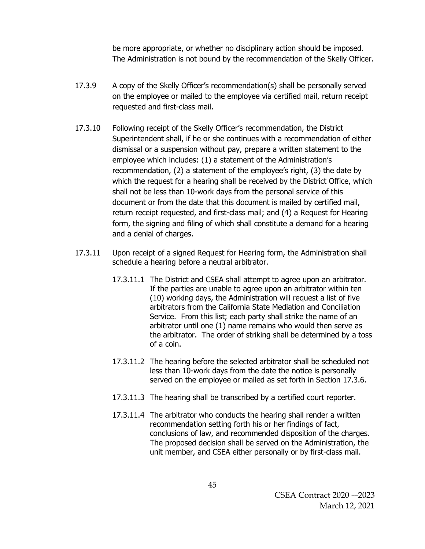be more appropriate, or whether no disciplinary action should be imposed. The Administration is not bound by the recommendation of the Skelly Officer.

- 17.3.9 A copy of the Skelly Officer's recommendation(s) shall be personally served on the employee or mailed to the employee via certified mail, return receipt requested and first-class mail.
- 17.3.10 Following receipt of the Skelly Officer's recommendation, the District Superintendent shall, if he or she continues with a recommendation of either dismissal or a suspension without pay, prepare a written statement to the employee which includes: (1) a statement of the Administration's recommendation, (2) a statement of the employee's right, (3) the date by which the request for a hearing shall be received by the District Office, which shall not be less than 10-work days from the personal service of this document or from the date that this document is mailed by certified mail, return receipt requested, and first-class mail; and (4) a Request for Hearing form, the signing and filing of which shall constitute a demand for a hearing and a denial of charges.
- 17.3.11 Upon receipt of a signed Request for Hearing form, the Administration shall schedule a hearing before a neutral arbitrator.
	- 17.3.11.1 The District and CSEA shall attempt to agree upon an arbitrator. If the parties are unable to agree upon an arbitrator within ten (10) working days, the Administration will request a list of five arbitrators from the California State Mediation and Conciliation Service. From this list; each party shall strike the name of an arbitrator until one (1) name remains who would then serve as the arbitrator. The order of striking shall be determined by a toss of a coin.
	- 17.3.11.2 The hearing before the selected arbitrator shall be scheduled not less than 10-work days from the date the notice is personally served on the employee or mailed as set forth in Section 17.3.6.
	- 17.3.11.3 The hearing shall be transcribed by a certified court reporter.
	- 17.3.11.4 The arbitrator who conducts the hearing shall render a written recommendation setting forth his or her findings of fact, conclusions of law, and recommended disposition of the charges. The proposed decision shall be served on the Administration, the unit member, and CSEA either personally or by first-class mail.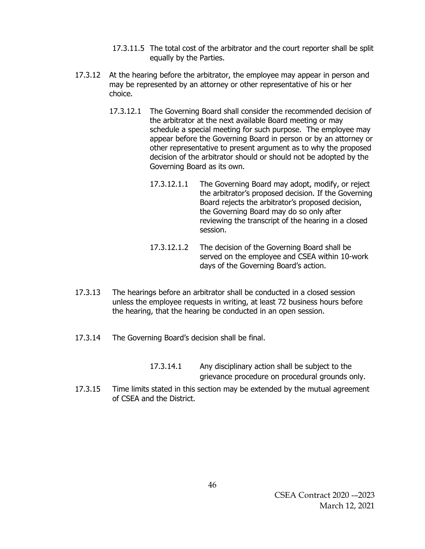- 17.3.11.5 The total cost of the arbitrator and the court reporter shall be split equally by the Parties.
- 17.3.12 At the hearing before the arbitrator, the employee may appear in person and may be represented by an attorney or other representative of his or her choice.
	- 17.3.12.1 The Governing Board shall consider the recommended decision of the arbitrator at the next available Board meeting or may schedule a special meeting for such purpose. The employee may appear before the Governing Board in person or by an attorney or other representative to present argument as to why the proposed decision of the arbitrator should or should not be adopted by the Governing Board as its own.
		- 17.3.12.1.1 The Governing Board may adopt, modify, or reject the arbitrator's proposed decision. If the Governing Board rejects the arbitrator's proposed decision, the Governing Board may do so only after reviewing the transcript of the hearing in a closed session.
		- 17.3.12.1.2 The decision of the Governing Board shall be served on the employee and CSEA within 10-work days of the Governing Board's action.
- 17.3.13 The hearings before an arbitrator shall be conducted in a closed session unless the employee requests in writing, at least 72 business hours before the hearing, that the hearing be conducted in an open session.
- 17.3.14 The Governing Board's decision shall be final.
	- 17.3.14.1 Any disciplinary action shall be subject to the grievance procedure on procedural grounds only.
- 17.3.15 Time limits stated in this section may be extended by the mutual agreement of CSEA and the District.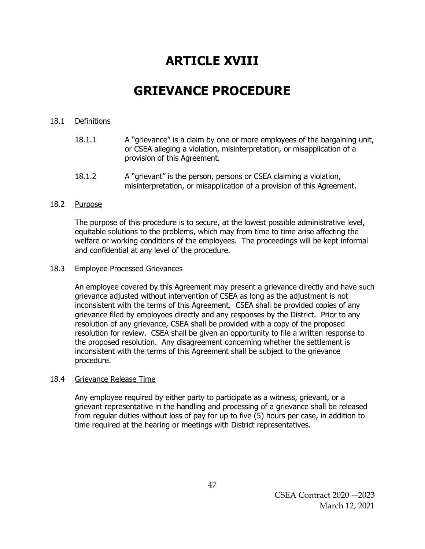# **ARTICLE XVIII**

## **GRIEVANCE PROCEDURE**

### 18.1 Definitions

- 18.1.1 A "grievance" is a claim by one or more employees of the bargaining unit, or CSEA alleging a violation, misinterpretation, or misapplication of a provision of this Agreement.
- 18.1.2 A "grievant" is the person, persons or CSEA claiming a violation, misinterpretation, or misapplication of a provision of this Agreement.

### 18.2 Purpose

The purpose of this procedure is to secure, at the lowest possible administrative level, equitable solutions to the problems, which may from time to time arise affecting the welfare or working conditions of the employees. The proceedings will be kept informal and confidential at any level of the procedure.

### 18.3 Employee Processed Grievances

An employee covered by this Agreement may present a grievance directly and have such grievance adjusted without intervention of CSEA as long as the adjustment is not inconsistent with the terms of this Agreement. CSEA shall be provided copies of any grievance filed by employees directly and any responses by the District. Prior to any resolution of any grievance, CSEA shall be provided with a copy of the proposed resolution for review. CSEA shall be given an opportunity to file a written response to the proposed resolution. Any disagreement concerning whether the settlement is inconsistent with the terms of this Agreement shall be subject to the grievance procedure.

### 18.4 Grievance Release Time

Any employee required by either party to participate as a witness, grievant, or a grievant representative in the handling and processing of a grievance shall be released from regular duties without loss of pay for up to five (5) hours per case, in addition to time required at the hearing or meetings with District representatives.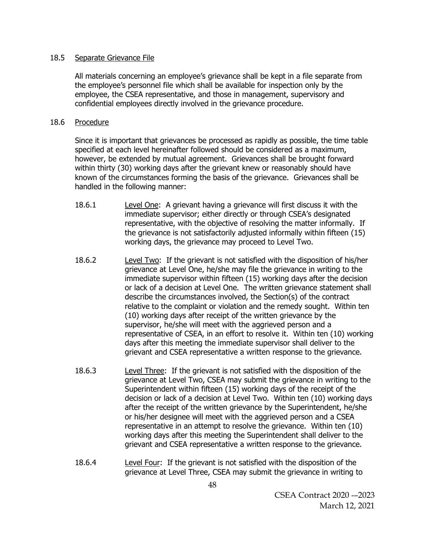### 18.5 Separate Grievance File

All materials concerning an employee's grievance shall be kept in a file separate from the employee's personnel file which shall be available for inspection only by the employee, the CSEA representative, and those in management, supervisory and confidential employees directly involved in the grievance procedure.

### 18.6 Procedure

Since it is important that grievances be processed as rapidly as possible, the time table specified at each level hereinafter followed should be considered as a maximum, however, be extended by mutual agreement. Grievances shall be brought forward within thirty (30) working days after the grievant knew or reasonably should have known of the circumstances forming the basis of the grievance. Grievances shall be handled in the following manner:

- 18.6.1 Level One: A grievant having a grievance will first discuss it with the immediate supervisor; either directly or through CSEA's designated representative, with the objective of resolving the matter informally. If the grievance is not satisfactorily adjusted informally within fifteen (15) working days, the grievance may proceed to Level Two.
- 18.6.2 Level Two: If the grievant is not satisfied with the disposition of his/her grievance at Level One, he/she may file the grievance in writing to the immediate supervisor within fifteen (15) working days after the decision or lack of a decision at Level One. The written grievance statement shall describe the circumstances involved, the Section(s) of the contract relative to the complaint or violation and the remedy sought. Within ten (10) working days after receipt of the written grievance by the supervisor, he/she will meet with the aggrieved person and a representative of CSEA, in an effort to resolve it. Within ten (10) working days after this meeting the immediate supervisor shall deliver to the grievant and CSEA representative a written response to the grievance.
- 18.6.3 Level Three: If the grievant is not satisfied with the disposition of the grievance at Level Two, CSEA may submit the grievance in writing to the Superintendent within fifteen (15) working days of the receipt of the decision or lack of a decision at Level Two. Within ten (10) working days after the receipt of the written grievance by the Superintendent, he/she or his/her designee will meet with the aggrieved person and a CSEA representative in an attempt to resolve the grievance. Within ten (10) working days after this meeting the Superintendent shall deliver to the grievant and CSEA representative a written response to the grievance.
- 18.6.4 Level Four: If the grievant is not satisfied with the disposition of the grievance at Level Three, CSEA may submit the grievance in writing to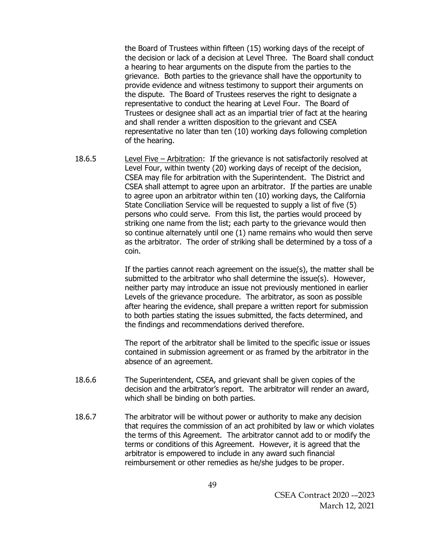the Board of Trustees within fifteen (15) working days of the receipt of the decision or lack of a decision at Level Three. The Board shall conduct a hearing to hear arguments on the dispute from the parties to the grievance. Both parties to the grievance shall have the opportunity to provide evidence and witness testimony to support their arguments on the dispute. The Board of Trustees reserves the right to designate a representative to conduct the hearing at Level Four. The Board of Trustees or designee shall act as an impartial trier of fact at the hearing and shall render a written disposition to the grievant and CSEA representative no later than ten (10) working days following completion of the hearing.

18.6.5 Level Five – Arbitration: If the grievance is not satisfactorily resolved at Level Four, within twenty (20) working days of receipt of the decision, CSEA may file for arbitration with the Superintendent. The District and CSEA shall attempt to agree upon an arbitrator. If the parties are unable to agree upon an arbitrator within ten (10) working days, the California State Conciliation Service will be requested to supply a list of five (5) persons who could serve. From this list, the parties would proceed by striking one name from the list; each party to the grievance would then so continue alternately until one (1) name remains who would then serve as the arbitrator. The order of striking shall be determined by a toss of a coin.

> If the parties cannot reach agreement on the issue(s), the matter shall be submitted to the arbitrator who shall determine the issue(s). However, neither party may introduce an issue not previously mentioned in earlier Levels of the grievance procedure. The arbitrator, as soon as possible after hearing the evidence, shall prepare a written report for submission to both parties stating the issues submitted, the facts determined, and the findings and recommendations derived therefore.

The report of the arbitrator shall be limited to the specific issue or issues contained in submission agreement or as framed by the arbitrator in the absence of an agreement.

- 18.6.6 The Superintendent, CSEA, and grievant shall be given copies of the decision and the arbitrator's report. The arbitrator will render an award, which shall be binding on both parties.
- 18.6.7 The arbitrator will be without power or authority to make any decision that requires the commission of an act prohibited by law or which violates the terms of this Agreement. The arbitrator cannot add to or modify the terms or conditions of this Agreement. However, it is agreed that the arbitrator is empowered to include in any award such financial reimbursement or other remedies as he/she judges to be proper.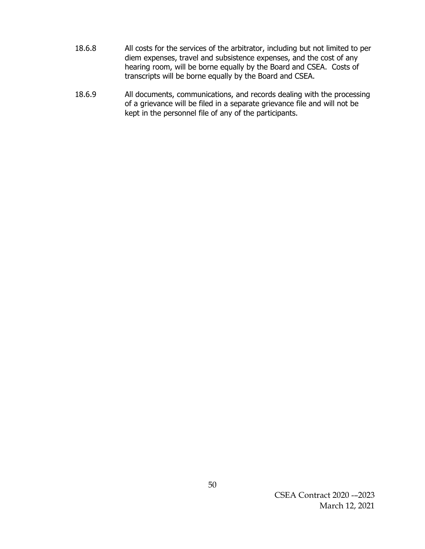- 18.6.8 All costs for the services of the arbitrator, including but not limited to per diem expenses, travel and subsistence expenses, and the cost of any hearing room, will be borne equally by the Board and CSEA. Costs of transcripts will be borne equally by the Board and CSEA.
- 18.6.9 All documents, communications, and records dealing with the processing of a grievance will be filed in a separate grievance file and will not be kept in the personnel file of any of the participants.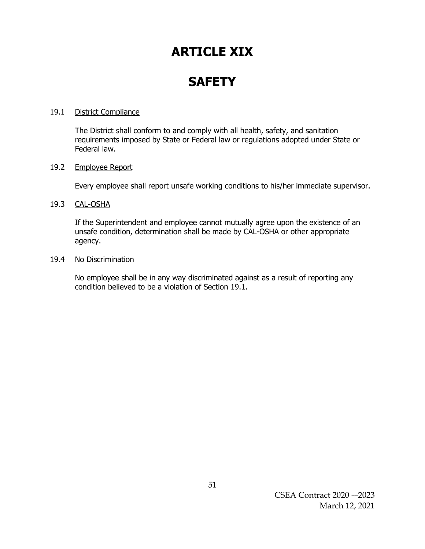# **ARTICLE XIX**

# **SAFETY**

### 19.1 District Compliance

The District shall conform to and comply with all health, safety, and sanitation requirements imposed by State or Federal law or regulations adopted under State or Federal law.

### 19.2 Employee Report

Every employee shall report unsafe working conditions to his/her immediate supervisor.

### 19.3 CAL-OSHA

If the Superintendent and employee cannot mutually agree upon the existence of an unsafe condition, determination shall be made by CAL-OSHA or other appropriate agency.

### 19.4 No Discrimination

No employee shall be in any way discriminated against as a result of reporting any condition believed to be a violation of Section 19.1.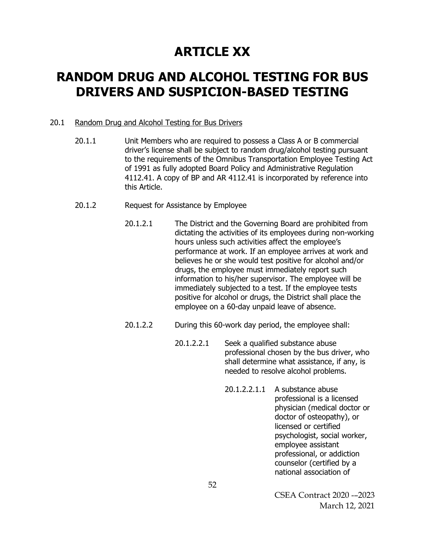## **ARTICLE XX**

## **RANDOM DRUG AND ALCOHOL TESTING FOR BUS DRIVERS AND SUSPICION-BASED TESTING**

### 20.1 Random Drug and Alcohol Testing for Bus Drivers

- 20.1.1 Unit Members who are required to possess a Class A or B commercial driver's license shall be subject to random drug/alcohol testing pursuant to the requirements of the Omnibus Transportation Employee Testing Act of 1991 as fully adopted Board Policy and Administrative Regulation 4112.41. A copy of BP and AR 4112.41 is incorporated by reference into this Article.
- 20.1.2 Request for Assistance by Employee
	- 20.1.2.1 The District and the Governing Board are prohibited from dictating the activities of its employees during non-working hours unless such activities affect the employee's performance at work. If an employee arrives at work and believes he or she would test positive for alcohol and/or drugs, the employee must immediately report such information to his/her supervisor. The employee will be immediately subjected to a test. If the employee tests positive for alcohol or drugs, the District shall place the employee on a 60-day unpaid leave of absence.
	- 20.1.2.2 During this 60-work day period, the employee shall:
		- 20.1.2.2.1 Seek a qualified substance abuse professional chosen by the bus driver, who shall determine what assistance, if any, is needed to resolve alcohol problems.
			- 20.1.2.2.1.1 A substance abuse professional is a licensed physician (medical doctor or doctor of osteopathy), or licensed or certified psychologist, social worker, employee assistant professional, or addiction counselor (certified by a national association of

CSEA Contract 2020 -–2023 March 12, 2021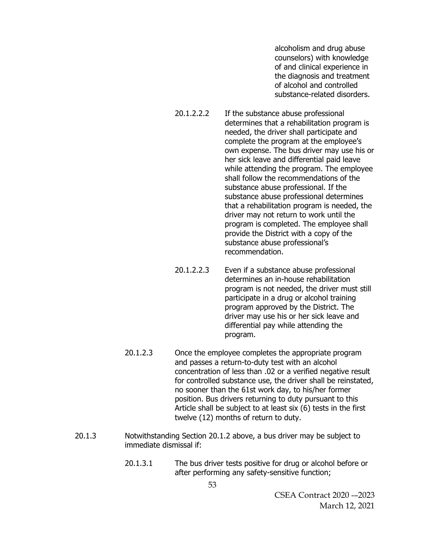alcoholism and drug abuse counselors) with knowledge of and clinical experience in the diagnosis and treatment of alcohol and controlled substance-related disorders.

- 20.1.2.2.2 If the substance abuse professional determines that a rehabilitation program is needed, the driver shall participate and complete the program at the employee's own expense. The bus driver may use his or her sick leave and differential paid leave while attending the program. The employee shall follow the recommendations of the substance abuse professional. If the substance abuse professional determines that a rehabilitation program is needed, the driver may not return to work until the program is completed. The employee shall provide the District with a copy of the substance abuse professional's recommendation.
- 20.1.2.2.3 Even if a substance abuse professional determines an in-house rehabilitation program is not needed, the driver must still participate in a drug or alcohol training program approved by the District. The driver may use his or her sick leave and differential pay while attending the program.
- 20.1.2.3 Once the employee completes the appropriate program and passes a return-to-duty test with an alcohol concentration of less than .02 or a verified negative result for controlled substance use, the driver shall be reinstated, no sooner than the 61st work day, to his/her former position. Bus drivers returning to duty pursuant to this Article shall be subject to at least six (6) tests in the first twelve (12) months of return to duty.
- 20.1.3 Notwithstanding Section 20.1.2 above, a bus driver may be subject to immediate dismissal if:
	- 20.1.3.1 The bus driver tests positive for drug or alcohol before or after performing any safety-sensitive function;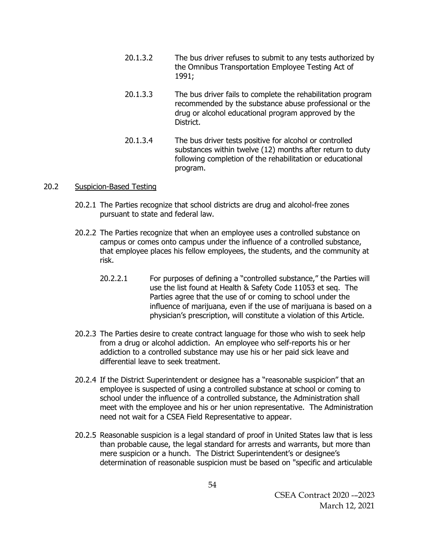- 20.1.3.2 The bus driver refuses to submit to any tests authorized by the Omnibus Transportation Employee Testing Act of 1991;
- 20.1.3.3 The bus driver fails to complete the rehabilitation program recommended by the substance abuse professional or the drug or alcohol educational program approved by the District.
- 20.1.3.4 The bus driver tests positive for alcohol or controlled substances within twelve (12) months after return to duty following completion of the rehabilitation or educational program.

### 20.2 Suspicion-Based Testing

- 20.2.1 The Parties recognize that school districts are drug and alcohol-free zones pursuant to state and federal law.
- 20.2.2 The Parties recognize that when an employee uses a controlled substance on campus or comes onto campus under the influence of a controlled substance, that employee places his fellow employees, the students, and the community at risk.
	- 20.2.2.1 For purposes of defining a "controlled substance," the Parties will use the list found at Health & Safety Code 11053 et seq. The Parties agree that the use of or coming to school under the influence of marijuana, even if the use of marijuana is based on a physician's prescription, will constitute a violation of this Article.
- 20.2.3 The Parties desire to create contract language for those who wish to seek help from a drug or alcohol addiction. An employee who self-reports his or her addiction to a controlled substance may use his or her paid sick leave and differential leave to seek treatment.
- 20.2.4 If the District Superintendent or designee has a "reasonable suspicion" that an employee is suspected of using a controlled substance at school or coming to school under the influence of a controlled substance, the Administration shall meet with the employee and his or her union representative. The Administration need not wait for a CSEA Field Representative to appear.
- 20.2.5 Reasonable suspicion is a [legal standard of proof](https://en.wikipedia.org/wiki/Legal_burden_of_proof) in [United States law](https://en.wikipedia.org/wiki/Law_of_the_United_States) that is less than [probable cause,](https://en.wikipedia.org/wiki/Probable_cause) the legal standard for [arrests](https://en.wikipedia.org/wiki/Arrest) and [warrants,](https://en.wikipedia.org/wiki/Warrant_(law)) but more than mere suspicion or a hunch. The District Superintendent's or designee's determination of reasonable suspicion must be based on "specific and articulable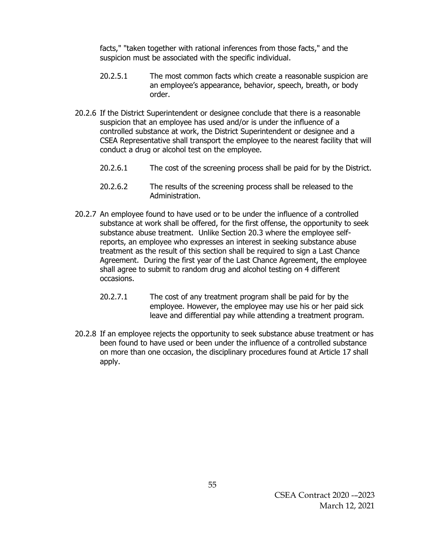facts," "taken together with rational inferences from those facts," and the suspicion must be associated with the specific individual.

- 20.2.5.1 The most common facts which create a reasonable suspicion are an employee's appearance, behavior, speech, breath, or body order.
- 20.2.6 If the District Superintendent or designee conclude that there is a reasonable suspicion that an employee has used and/or is under the influence of a controlled substance at work, the District Superintendent or designee and a CSEA Representative shall transport the employee to the nearest facility that will conduct a drug or alcohol test on the employee.
	- 20.2.6.1 The cost of the screening process shall be paid for by the District.
	- 20.2.6.2 The results of the screening process shall be released to the Administration.
- 20.2.7 An employee found to have used or to be under the influence of a controlled substance at work shall be offered, for the first offense, the opportunity to seek substance abuse treatment. Unlike Section 20.3 where the employee selfreports, an employee who expresses an interest in seeking substance abuse treatment as the result of this section shall be required to sign a Last Chance Agreement. During the first year of the Last Chance Agreement, the employee shall agree to submit to random drug and alcohol testing on 4 different occasions.
	- 20.2.7.1 The cost of any treatment program shall be paid for by the employee. However, the employee may use his or her paid sick leave and differential pay while attending a treatment program.
- 20.2.8 If an employee rejects the opportunity to seek substance abuse treatment or has been found to have used or been under the influence of a controlled substance on more than one occasion, the disciplinary procedures found at Article 17 shall apply.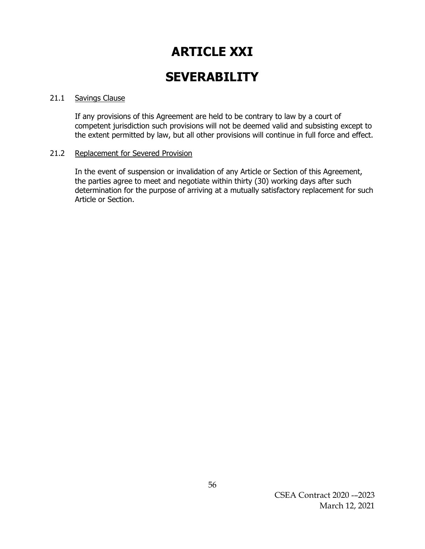# **ARTICLE XXI**

## **SEVERABILITY**

### 21.1 Savings Clause

If any provisions of this Agreement are held to be contrary to law by a court of competent jurisdiction such provisions will not be deemed valid and subsisting except to the extent permitted by law, but all other provisions will continue in full force and effect.

### 21.2 Replacement for Severed Provision

In the event of suspension or invalidation of any Article or Section of this Agreement, the parties agree to meet and negotiate within thirty (30) working days after such determination for the purpose of arriving at a mutually satisfactory replacement for such Article or Section.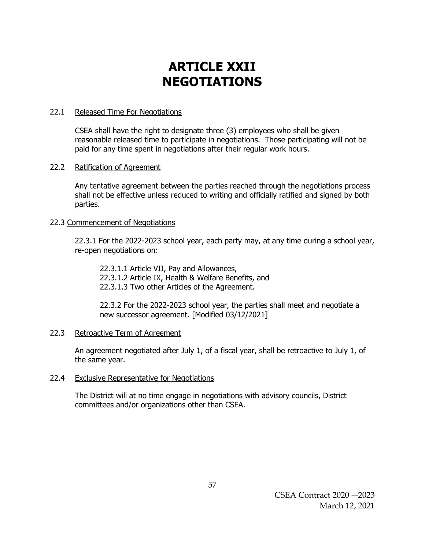# **ARTICLE XXII NEGOTIATIONS**

### 22.1 Released Time For Negotiations

CSEA shall have the right to designate three (3) employees who shall be given reasonable released time to participate in negotiations. Those participating will not be paid for any time spent in negotiations after their regular work hours.

## 22.2 Ratification of Agreement

Any tentative agreement between the parties reached through the negotiations process shall not be effective unless reduced to writing and officially ratified and signed by both parties.

## 22.3 Commencement of Negotiations

22.3.1 For the 2022-2023 school year, each party may, at any time during a school year, re-open negotiations on:

22.3.1.1 Article VII, Pay and Allowances, 22.3.1.2 Article IX, Health & Welfare Benefits, and 22.3.1.3 Two other Articles of the Agreement.

22.3.2 For the 2022-2023 school year, the parties shall meet and negotiate a new successor agreement. [Modified 03/12/2021]

### 22.3 Retroactive Term of Agreement

An agreement negotiated after July 1, of a fiscal year, shall be retroactive to July 1, of the same year.

### 22.4 Exclusive Representative for Negotiations

The District will at no time engage in negotiations with advisory councils, District committees and/or organizations other than CSEA.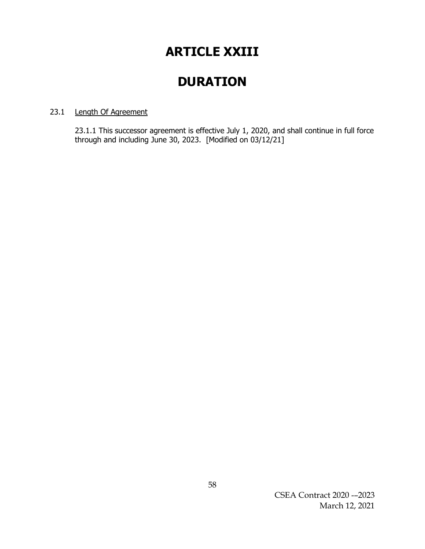## **ARTICLE XXIII**

## **DURATION**

## 23.1 Length Of Agreement

23.1.1 This successor agreement is effective July 1, 2020, and shall continue in full force through and including June 30, 2023. [Modified on 03/12/21]

> CSEA Contract 2020 -–2023 March 12, 2021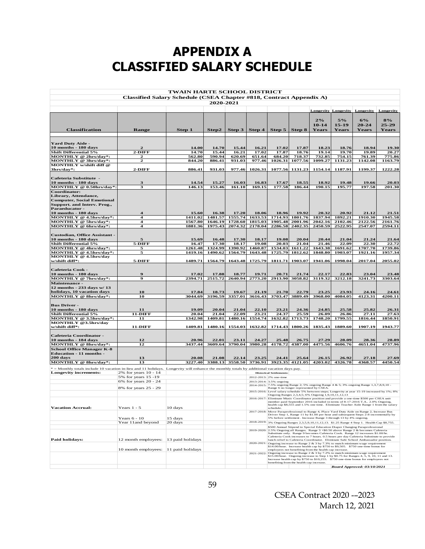# **APPENDIX A CLASSIFIED SALARY SCHEDULE**

| <b>TWAIN HARTE SCHOOL DISTRICT</b><br>Classified Salary Schedule (CSEA Chapter #818, Contract Appendix A)                                  |                      |                    |                    |                    |                    |                                                    |                             |                                                        |                                                                   |                                                                                                                                                                                                                                                                     |                          |
|--------------------------------------------------------------------------------------------------------------------------------------------|----------------------|--------------------|--------------------|--------------------|--------------------|----------------------------------------------------|-----------------------------|--------------------------------------------------------|-------------------------------------------------------------------|---------------------------------------------------------------------------------------------------------------------------------------------------------------------------------------------------------------------------------------------------------------------|--------------------------|
|                                                                                                                                            |                      |                    | 2020-2021          |                    |                    |                                                    |                             |                                                        |                                                                   |                                                                                                                                                                                                                                                                     |                          |
|                                                                                                                                            |                      |                    |                    |                    |                    |                                                    |                             |                                                        |                                                                   | <b>Longevity Longevity Longevity</b>                                                                                                                                                                                                                                | Longevity                |
| <b>Classification</b>                                                                                                                      | <b>Range</b>         | Step 1             | Step 2             | Step $3$           | Step $4$           |                                                    | Step $5 \mid$ Step $8 \mid$ | 2%<br>$10-14$<br>Years                                 | 5%<br>$15-19$<br><b>Years</b>                                     | 6%<br>$20 - 24$<br><b>Years</b>                                                                                                                                                                                                                                     | 8%<br>$25 - 29$<br>Years |
|                                                                                                                                            |                      |                    |                    |                    |                    |                                                    |                             |                                                        |                                                                   |                                                                                                                                                                                                                                                                     |                          |
| <b>Yard Duty Aide -</b><br>10 months - 180 days                                                                                            | $\mathbf{z}$         | 14.00              | 14.70              | 15.44              | 16.21              | 17.02                                              | 17.87                       | 18.23                                                  | 18.76                                                             | 18.94                                                                                                                                                                                                                                                               | 19.30                    |
| <b>Shift Differential 5%</b>                                                                                                               | $2-DIFF$             | 14.70              | 15.44              | 16.21              | 17.02              | 17.87                                              | 18.76                       | 19.14                                                  | 19.70                                                             | 19.89                                                                                                                                                                                                                                                               | 20.27                    |
| MONTHLY @ 2hrs/day*:                                                                                                                       | 2                    | 562.80             | 590.94             | 620.69             | 651.64             | 684.20                                             | 718.37                      | 732.85                                                 | 754.15                                                            | 761.39                                                                                                                                                                                                                                                              | 775.86                   |
| MONTHLY @ 3hrs/day*:<br><b>MONTHLY w/shift diff @</b>                                                                                      | $\overline{2}$       | 844.20             | 886.41             | 931.03             | 977.46             | 1026.31                                            | 1077.56                     | 1099.27                                                | 1131.23                                                           | 1142.08                                                                                                                                                                                                                                                             | 1163.79                  |
| 3hrs/day*:                                                                                                                                 | $2-DIFF$             | 886.41             | 931.03             | 977.46             | 1026.31            | 1077.56                                            | 1131.23                     | 1154.14                                                | 1187.91                                                           | 1199.37                                                                                                                                                                                                                                                             | 1222.28                  |
| Cafeteria Substitute -<br>10 months - 180 days                                                                                             | 3                    | 14.54              | 15.27              | 16.03              | 16.83              | 17.67                                              | 18.55                       | 18.92                                                  | 19.48                                                             | 19.66                                                                                                                                                                                                                                                               | 20.03                    |
| MONTHLY @ 0.50hrs/day*:                                                                                                                    | 3                    | 146.13             | 153.46             | 161.10             | 169.15             | 177.58                                             | 186.44                      | 190.15                                                 | 195.77                                                            | 197.58                                                                                                                                                                                                                                                              | 201.30                   |
| Coordinator:<br>Library, Attendance,<br><b>Computer, Social Emotional</b><br>Support. and Interv. Prog.,<br>Paraeducator -                 |                      |                    |                    |                    |                    |                                                    |                             |                                                        |                                                                   |                                                                                                                                                                                                                                                                     |                          |
| 10 months - 180 days                                                                                                                       | 4                    | 15.60              | 16.38              | 17.20              | 18.06              | 18.96                                              | 19.92                       | 20.32                                                  | 20.92                                                             | 21.12                                                                                                                                                                                                                                                               | 21.51                    |
| MONTHLY @ 4.5hrs/day*:<br>MONTHLY @ 5hrs/day*:                                                                                             | 4<br>4               | 1411.02<br>1567.80 | 1481.57<br>1646.19 | 1555.74<br>1728.60 | 1633.53<br>1815.03 | 1714.93                                            | 1801.76<br>1905.48 2001.96  | 1837.94<br>2042.16                                     | 1892.21<br>2102.46                                                | 1910.30<br>2122.56                                                                                                                                                                                                                                                  | 1945.58<br>2161.76       |
| MONTHLY @ 6hrs/day*:                                                                                                                       | 4                    | 1881.36            |                    | 1975.43 2074.32    | 2178.04            |                                                    | 2286.58 2402.35             | 2450.59                                                | 2522.95                                                           | 2547.07                                                                                                                                                                                                                                                             | 2594.11                  |
| <b>Custodian, Office Assistant -</b>                                                                                                       |                      |                    |                    |                    |                    |                                                    |                             |                                                        |                                                                   |                                                                                                                                                                                                                                                                     |                          |
| 10 months - 180 days<br><b>Shift Differential 5%</b>                                                                                       | 5<br>$5-DIFF$        | 15.69<br>16.47     | 16.48<br>17.30     | 17.30<br>18.17     | 18.17<br>19.08     | 19.08<br>20.03                                     | 20.04<br>21.04              | 20.44<br>21.46                                         | 21.04<br>22.09                                                    | 21.24<br>22.30                                                                                                                                                                                                                                                      | 21.64<br>22.72           |
| MONTHLY @ 4hrs/day*:                                                                                                                       | 5                    | 1261.48            | 1324.99            | 1390.92            | 1460.87            | 1534.03                                            | 1611.22                     | 1643.38                                                | 1691.62                                                           | 1707.70                                                                                                                                                                                                                                                             | 1739.86                  |
| MONTHLY @ 4.5hrs/day*:                                                                                                                     | 5                    | 1419.16            | 1490.62            | 1564.79            | 1643.48            |                                                    | 1725.79 1812.62             | 1848.80                                                | 1903.07                                                           | 1921.16                                                                                                                                                                                                                                                             | 1957.34                  |
| MONTHLY @ 4.5hrs/day<br>w/shift diff*:                                                                                                     | 5-DIFF               | 1489.71            | 1564.79            | 1643.48            | 1725.79            | 1811.71                                            | 1903.07                     | 1941.06                                                | 1998.04                                                           | 2017.04                                                                                                                                                                                                                                                             | 2055.02                  |
| <b>Cafeteria Cook -</b><br>$10$ months - $180$ days                                                                                        | 9                    | 17.02              | 17.88              | 18.77              | 19.71              | 20.71                                              | 21.74                       | 22.17                                                  | 22.83                                                             | 23.04                                                                                                                                                                                                                                                               | 23.48                    |
| MONTHLY @ 7hrs/day*:                                                                                                                       | 9                    | 2394.71            | 2515.72            | 2640.94            | 2773.20            |                                                    | 2913.90 3058.82             | 3119.32                                                | 3212.18                                                           | 3241.73                                                                                                                                                                                                                                                             | 3303.64                  |
| Maintenance -<br>12 months - 233 days w/ 13<br>holidays, 10 vacation days                                                                  | 10                   | 17.84              | 18.73              | 19.67              | 21.19              | 21.70                                              | 22.79                       | 23.25                                                  | 23.93                                                             | 24.16                                                                                                                                                                                                                                                               | 24.61                    |
| MONTHLY @ 8hrs/day*:                                                                                                                       | 10                   | 3044.69            | 3196.59            | 3357.01            | 3616.43            | 3703.47                                            | 3889.49                     | 3968.00                                                | 4084.05                                                           | 4123.31                                                                                                                                                                                                                                                             | 4200.11                  |
| <b>Bus Driver -</b><br>$10$ months - $180$ days                                                                                            | 11                   | 19.09              | 20.04              | 21.04              | 22.10              | 23.21                                              | 24.36                       | 24.85                                                  | 25.58                                                             | 25.82                                                                                                                                                                                                                                                               | 26.31                    |
| <b>Shift Differential 5%</b>                                                                                                               | <b>11-DIFF</b>       | 20.04              | 21.04              | 22.09              | 23.21              | 24.37                                              | 25.59                       | 26.09                                                  | 26.86                                                             | 27.11                                                                                                                                                                                                                                                               | 27.63                    |
| MONTHLY @ 3.5hrs/day*:                                                                                                                     | 11                   | 1342.98            | 1409.81            | 1480.16            | 1554.74            |                                                    | 1632.82 1713.73             | 1748.20                                                | 1799.55                                                           | 1816.44                                                                                                                                                                                                                                                             | 1850.91                  |
| MONTHLY @3.5hrs/day<br>w/shift diff*:                                                                                                      | <b>11-DIFF</b>       | 1409.81            | 1480.16            | 1554.03            | 1632.82            |                                                    | 1714.43 1800.26             | 1835.43                                                | 1889.60                                                           | 1907.19                                                                                                                                                                                                                                                             | 1943.77                  |
| Cafeteria Coordinator -<br>10 months - 184 days                                                                                            | 12                   | 20.96              | 22.01              | 23.11              | 24.27              | 25.48                                              | 26.75                       | 27.29                                                  | 28.09                                                             | 28.36                                                                                                                                                                                                                                                               | 28.89                    |
| MONTHLY @ 8hrs/day*:                                                                                                                       | 12                   | 3437.44            | 3609.64            | 3790.04            | 3980.28            | 4178.72                                            | 4387.00                     | 4475.56                                                | 4606.76                                                           | 4651.04                                                                                                                                                                                                                                                             | 4737.96                  |
| <b>School Office Manager K-8</b><br><b>Education - 11 months -</b><br>200 days                                                             | 13                   | 20.08              | 21.08              | 22.14              | 23.25              | 24.41                                              | 25.64                       | 26.15                                                  | 26.92                                                             | 27.18                                                                                                                                                                                                                                                               | 27.69                    |
| MONTHLY @ 8hrs/day*:                                                                                                                       | 13                   | 3227.40            | 3388.13            | 3558.50            | 3736.91            |                                                    | 3923.35 4121.05             | 4203.02                                                | 4326.78                                                           | 4368.57                                                                                                                                                                                                                                                             | 4450.54                  |
| * = Monthly totals include 10 vacation in-lieu and 11 holidays. Longevity will enhance the monthly totals by additional vacation days pay. |                      |                    |                    |                    |                    |                                                    |                             |                                                        |                                                                   |                                                                                                                                                                                                                                                                     |                          |
| <b>Longevity increments:</b>                                                                                                               | 2% for years 10 - 14 |                    |                    |                    |                    | <b>Historical Settlements:</b>                     |                             |                                                        |                                                                   |                                                                                                                                                                                                                                                                     |                          |
|                                                                                                                                            | 5% for years 15-19   |                    |                    |                    |                    | 2012-2013: 2% one-time                             |                             |                                                        |                                                                   |                                                                                                                                                                                                                                                                     |                          |
|                                                                                                                                            | 6% for years 20 - 24 |                    |                    |                    |                    | 2013-2014: 3.5% ongoing                            |                             |                                                        |                                                                   | 2014-2015: 7.5% ongoing Range 2; 5% ongoing Range 4 & 5; 3% ongoing Range 1,3,7,8,9,10 -                                                                                                                                                                            |                          |
|                                                                                                                                            | 8% for years 25 - 29 |                    |                    |                    |                    | Range 6 no longer represented by CSEA.             |                             |                                                        |                                                                   | 2015-2016: Level salary schedule 5% between steps; Longevity at year 15-19 increased by 1%; 8%                                                                                                                                                                      |                          |
|                                                                                                                                            |                      |                    |                    |                    | 2016-2017:         | Ongoing Ranges 2,3,4,5; 6% Ongoing 1,9,10,11,12,13 |                             |                                                        |                                                                   | Eliminate Music Coordinator position and provide a one-time \$500 per CSEA unit<br>member paid September 2016 included in terms of 8-17-2016 T.A 2.0% Ongoing,                                                                                                      |                          |
| <b>Vacation Accrual:</b>                                                                                                                   | Years $1 - 5$        | 10 days            |                    |                    |                    | schedule.                                          |                             |                                                        |                                                                   | health cap \$8,555 and 1.5% one time. Eliminate Teacher Aide Range 1 from the salary<br>2017-2018: Move Paraprofessional to Range 4, Place Yard Duty Aide on Range 2, Increase Bus                                                                                  |                          |
|                                                                                                                                            | Years $6 - 10$       | 15 days            |                    |                    |                    |                                                    |                             |                                                        | 5% before settlement . Increase Range 3 through 13 by 4% ongoing. | Driver Step 1, Range 11 by \$1.00 per hour and subsequent Steps 2-8 incrementally by                                                                                                                                                                                |                          |
|                                                                                                                                            | Year 11 and beyond   | 20 days            |                    |                    |                    |                                                    |                             |                                                        |                                                                   | 2018-2019: 3% Ongoing Ranges 2,3,5,9,10,11,12,13. \$1.25 Range 4 Step 1. Health Cap \$8,755.<br>\$500 Annual Stipend to Special Education Diaper Changing Paraprofessional                                                                                          |                          |
|                                                                                                                                            |                      |                    |                    |                    |                    |                                                    |                             |                                                        |                                                                   | 2019-2020: 2.5% Ongoing all Ranges. Range 3 +\$0.50 above Range 2 & becomes Cafeteria<br>Substitute only. Range 9 becomes Cafeteria Cook. Range 12 increases \$1.00/hr.                                                                                             |                          |
| Paid holidays:                                                                                                                             | 12 month employees:  | 13 paid holidays   |                    |                    |                    |                                                    |                             |                                                        |                                                                   | Cafeteria Cook increases to 7 hours. 0.5 hours per day Cafeteria Substitute to provide<br>lunch relief to Cafeteria Coordinator. Eliminate Safe School Ambassador position.<br>2020-2021: Ongoing increase to Range 2 & 3 by 7.3% to match minimum wage requirement |                          |
|                                                                                                                                            | 10 month employees:  | 11 paid holidays   |                    |                    |                    |                                                    |                             | employees not benefiting from the health cap increase. |                                                                   | \$14.00/hour. Increase health cap by \$750 to \$9,505. \$750 one-time bonus for                                                                                                                                                                                     |                          |
|                                                                                                                                            |                      |                    |                    |                    |                    |                                                    |                             |                                                        |                                                                   | 2021-2022: Ongoing increase to Range 2 & 3 by 7.2% to match minimum wage requirement<br>\$15.00/hour. Ongoing increase to Step 1 by \$0.75 for Ranges 4, 5, 9, 10, 11 and 13.<br>Increase health cap by \$750 to \$10,255. \$750 one-time bonus for employees not   |                          |
|                                                                                                                                            |                      |                    |                    |                    |                    | benefiting from the health cap increase.           |                             |                                                        |                                                                   | Board Approved: 03/10/2021                                                                                                                                                                                                                                          |                          |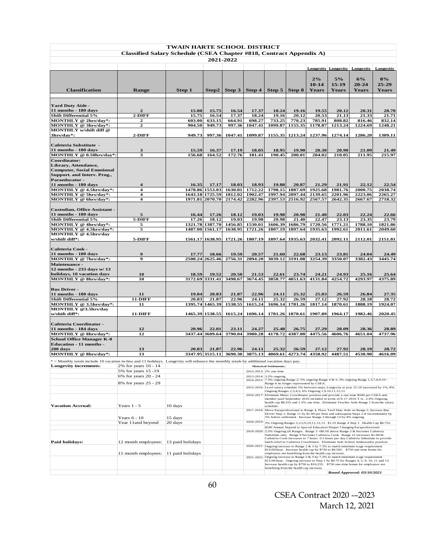| TWAIN HARTE SCHOOL DISTRICT                                                                                                                |                                                                     |                  |                                    |                    |                    |                                                                   |                    |                    |                    |                                                                                                                                                                             |                    |
|--------------------------------------------------------------------------------------------------------------------------------------------|---------------------------------------------------------------------|------------------|------------------------------------|--------------------|--------------------|-------------------------------------------------------------------|--------------------|--------------------|--------------------|-----------------------------------------------------------------------------------------------------------------------------------------------------------------------------|--------------------|
|                                                                                                                                            | Classified Salary Schedule (CSEA Chapter #818, Contract Appendix A) |                  |                                    |                    |                    |                                                                   |                    |                    |                    |                                                                                                                                                                             |                    |
|                                                                                                                                            |                                                                     |                  | 2021-2022                          |                    |                    |                                                                   |                    |                    |                    |                                                                                                                                                                             |                    |
|                                                                                                                                            |                                                                     |                  |                                    |                    |                    |                                                                   |                    |                    |                    | <b>Longevity Longevity Longevity</b>                                                                                                                                        | Longevity          |
|                                                                                                                                            |                                                                     |                  |                                    |                    |                    |                                                                   |                    | 2%                 |                    | 6%                                                                                                                                                                          |                    |
|                                                                                                                                            |                                                                     |                  |                                    |                    |                    |                                                                   |                    | $10 - 14$          | 5%<br>$15 - 19$    | $20 - 24$                                                                                                                                                                   | 8%<br>$25 - 29$    |
| <b>Classification</b>                                                                                                                      | <b>Range</b>                                                        | Step 1           | Step2                              | Step 3             | Step 4             | Step $5 \mid$                                                     | Step 8             | Years              | <b>Years</b>       | <b>Years</b>                                                                                                                                                                | Years              |
|                                                                                                                                            |                                                                     |                  |                                    |                    |                    |                                                                   |                    |                    |                    |                                                                                                                                                                             |                    |
| <b>Yard Duty Aide -</b>                                                                                                                    |                                                                     |                  |                                    |                    |                    |                                                                   |                    |                    |                    |                                                                                                                                                                             |                    |
| 11 months - 180 days                                                                                                                       | 2                                                                   | 15.00            | 15.75                              | 16.54              | 17.37              | 18.24                                                             | 19.16              | 19.55              | 20.12              | 20.31                                                                                                                                                                       | 20.70              |
| <b>Shift Differential 5%</b><br>MONTHLY @ 2hrs/day*:                                                                                       | 2-DIFF<br>2                                                         | 15.75<br>603.00  | 16.54<br>633.15                    | 17.37<br>664.91    | 18.24<br>698.27    | 19.16<br>733.25                                                   | 20.12<br>770.23    | 20.53<br>785.91    | 21.13<br>808.82    | 21.33<br>816.46                                                                                                                                                             | 21.71<br>832.14    |
| MONTHLY @ 3hrs/day*:                                                                                                                       | 2                                                                   | 904.50           | 949.73                             | 997.36             | 1047.41            | 1099.87                                                           | 1155.35            | 1178.87            | 1213.24            | 1224.69                                                                                                                                                                     | 1248.21            |
| MONTHLY w/shift diff @                                                                                                                     |                                                                     |                  |                                    |                    |                    |                                                                   |                    |                    |                    |                                                                                                                                                                             |                    |
| 3hrs/day*:                                                                                                                                 | 2-DIFF                                                              | 949.73           | 997.36                             | 1047.41            | 1099.87            |                                                                   | 1155.35 1213.24    | 1237.96            | 1274.14            | 1286.20                                                                                                                                                                     | 1309.11            |
| Cafeteria Substitute -                                                                                                                     |                                                                     |                  |                                    |                    |                    |                                                                   |                    |                    |                    |                                                                                                                                                                             |                    |
| 11 months - 180 days                                                                                                                       | 3                                                                   | 15.59            | 16.37                              | 17.19              | 18.05              | 18.95<br>190.45                                                   | 19.90<br>200.01    | 20.30<br>204.02    | 20.90              | 21.09                                                                                                                                                                       | 21.49<br>215.97    |
| MONTHLY @ 0.50hrs/day*:<br>Coordinator:                                                                                                    | 3                                                                   | 156.68           | 164.52                             | 172.76             | 181.41             |                                                                   |                    |                    | 210.05             | 211.95                                                                                                                                                                      |                    |
| Library, Attendance,                                                                                                                       |                                                                     |                  |                                    |                    |                    |                                                                   |                    |                    |                    |                                                                                                                                                                             |                    |
| <b>Computer, Social Emotional</b>                                                                                                          |                                                                     |                  |                                    |                    |                    |                                                                   |                    |                    |                    |                                                                                                                                                                             |                    |
| Support. and Interv. Prog.,<br>Paraeducator -                                                                                              |                                                                     |                  |                                    |                    |                    |                                                                   |                    |                    |                    |                                                                                                                                                                             |                    |
| 11 months - 180 days                                                                                                                       | 4                                                                   | 16.35            | 17.17                              | 18.03              | 18.93              | 19.88                                                             | 20.87              | 21.29              | 21.91              | 22.12                                                                                                                                                                       | 22.54              |
| MONTHLY @ 4.5hrs/day*:                                                                                                                     | 4<br>4                                                              |                  | 1478.86 1553.03<br>1643.18 1725.59 | 1630.81<br>1812.02 | 1712.22<br>1902.47 | 1798.15<br>1997.94                                                | 1887.69<br>2097.44 | 1925.68<br>2139.65 | 1981.76<br>2201.96 | 2000.75<br>2223.06                                                                                                                                                          | 2038.74<br>2265.27 |
| MONTHLY @ 5hrs/day*:<br>MONTHLY @ 6hrs/day*:                                                                                               | 4                                                                   |                  | 1971.81 2070.70                    | 2174.42            | 2282.96            |                                                                   | 2397.53 2516.92    | 2567.57            | 2642.35            | 2667.67                                                                                                                                                                     | 2718.32            |
|                                                                                                                                            |                                                                     |                  |                                    |                    |                    |                                                                   |                    |                    |                    |                                                                                                                                                                             |                    |
| <b>Custodian, Office Assistant -</b><br>11 months - 180 days                                                                               | 5                                                                   | 16.44            | 17.26                              | 18.12              | 19.03              | 19.98                                                             | 20.98              | 21.40              | 22.03              | 22.24                                                                                                                                                                       | 22.66              |
| <b>Shift Differential 5%</b>                                                                                                               | 5-DIFF                                                              | 17.26            | 18.12                              | 19.03              | 19.98              | 20.98                                                             | 21.40              | 22.47              | 23.13              | 23.35                                                                                                                                                                       | 23.79              |
| MONTHLY @ 4hrs/day*:                                                                                                                       | 5                                                                   | 1321.78          | 1387.70                            | 1456.85            | 1530.01            | 1606.39                                                           | 1686.79            | 1720.56            | 1771.21            | 1788.10                                                                                                                                                                     | 1821.86            |
| MONTHLY @ 4.5hrs/day*:<br>MONTHLY @ 4.5hrs/day                                                                                             | 5                                                                   |                  | 1487.00 1561.17                    | 1638.95            | 1721.26            | 1807.19                                                           | 1897.64            | 1935.63            | 1992.61            | 2011.61                                                                                                                                                                     | 2049.60            |
| w/shift diff*:                                                                                                                             | 5-DIFF                                                              |                  | 1561.17 1638.95                    | 1721.26            | 1807.19            |                                                                   | 1897.64 1935.63    | 2032.41            | 2092.11            | 2112.01                                                                                                                                                                     | 2151.81            |
|                                                                                                                                            |                                                                     |                  |                                    |                    |                    |                                                                   |                    |                    |                    |                                                                                                                                                                             |                    |
| Cafeteria Cook -<br>11 months - 180 days                                                                                                   | 9                                                                   | 17.77            | 18.66                              | 19.59              | 20.57              | 21.60                                                             | 22.68              | 23.13              | 23.81              | 24.04                                                                                                                                                                       | 24.49              |
| MONTHLY @ 7hrs/day*:                                                                                                                       | 9                                                                   |                  | 2500.24 2625.46                    | 2756.31            | 2894.20            |                                                                   | 3039.12 3191.08    | 3254.39            | 3350.07            | 3382.43                                                                                                                                                                     | 3445.74            |
| Maintenance -                                                                                                                              |                                                                     |                  |                                    |                    |                    |                                                                   |                    |                    |                    |                                                                                                                                                                             |                    |
| 12 months - 233 days w/ 13<br>holidays, 10 vacation days                                                                                   | 10                                                                  | 18.59            | 19.52                              | 20.50              | 21.53              | 22.61                                                             | 23.74              | 24.21              | 24.93              | 25.16                                                                                                                                                                       | 25.64              |
| MONTHLY @ 8hrs/day*:                                                                                                                       | 10                                                                  |                  | 3172.69 3331.41                    | 3498.67            | 3674.45            | 3858.77                                                           | 4051.63            | 4131.84            | 4254.72            | 4293.97                                                                                                                                                                     | 4375.89            |
|                                                                                                                                            |                                                                     |                  |                                    |                    |                    |                                                                   |                    |                    |                    |                                                                                                                                                                             |                    |
| <b>Bus Driver -</b><br>11 months - 180 days                                                                                                | 11                                                                  | 19.84            | 20.83                              | 21.87              | 22.96              | 24.11                                                             | 25.32              | 25.83              | 26.59              | 26.84                                                                                                                                                                       | 27.35              |
| <b>Shift Differential 5%</b>                                                                                                               | <b>11-DIFF</b>                                                      | 20.83            | 21.87                              | 22.96              | 24.11              | 25.32                                                             | 26.59              | 27.12              | 27.92              | 28.18                                                                                                                                                                       | 28.72              |
| MONTHLY @ 3.5hrs/day*:                                                                                                                     | 11                                                                  |                  | 1395.74 1465.39                    | 1538.55            | 1615.24            |                                                                   | 1696.14 1781.26    | 1817.14            | 1870.61            | 1888.19                                                                                                                                                                     | 1924.07            |
| MONTHLY @3.5hrs/day<br>w/shift diff*:                                                                                                      | <b>11-DIFF</b>                                                      |                  | 1465.39 1538.55                    | 1615.24            | 1696.14            |                                                                   | 1781.26 1870.61    | 1907.89            | 1964.17            | 1982.46                                                                                                                                                                     | 2020.45            |
|                                                                                                                                            |                                                                     |                  |                                    |                    |                    |                                                                   |                    |                    |                    |                                                                                                                                                                             |                    |
| Cafeteria Coordinator -<br>11 months - 184 days                                                                                            | 12                                                                  | 20.96            | 22.01                              | 23.11              | 24.27              | 25.48                                                             | 26.75              | 27.29              | 28.09              | 28.36                                                                                                                                                                       | 28.89              |
| MONTHLY @ 8hrs/day*:                                                                                                                       | 12                                                                  |                  | 3437.44 3609.64                    | 3790.04            | 3980.28            | 4178.72                                                           | 4387.00            | 4475.56            | 4606.76            | 4651.04                                                                                                                                                                     | 4737.96            |
| <b>School Office Manager K-8</b>                                                                                                           |                                                                     |                  |                                    |                    |                    |                                                                   |                    |                    |                    |                                                                                                                                                                             |                    |
| <b>Education - 11 months -</b><br>200 days                                                                                                 | 13                                                                  | 20.83            | 21.87                              | 22.96              | 24.11              | 25.32                                                             | 26.59              | 27.12              | 27.92              | 28.19                                                                                                                                                                       | 28.72              |
| MONTHLY @ 8hrs/day*:                                                                                                                       | 13                                                                  |                  | 3347.05 3515.11                    | 3690.30            | 3875.13            | 4069.61                                                           | 4273.74            | 43589              | 4487.51            | 4530.00                                                                                                                                                                     | 4616.00            |
| * = Monthly totals include 10 vacation in-lieu and 11 holidays. Longevity will enhance the monthly totals by additional vacation days pay. |                                                                     |                  |                                    |                    |                    |                                                                   |                    |                    |                    |                                                                                                                                                                             |                    |
| <b>Longevity increments:</b>                                                                                                               | 2% for years 10 - 14                                                |                  |                                    |                    |                    | <b>Historical Settlements:</b>                                    |                    |                    |                    |                                                                                                                                                                             |                    |
|                                                                                                                                            | 5% for years 15 -19<br>6% for years 20 - 24                         |                  |                                    |                    |                    | 2012-2013: 2% one-time<br>2013-2014: 3.5% ongoing                 |                    |                    |                    |                                                                                                                                                                             |                    |
|                                                                                                                                            | 8% for years 25 - 29                                                |                  |                                    |                    |                    | Range 6 no longer represented by CSEA.                            |                    |                    |                    | 2014-2015: 7.5% ongoing Range 2; 5% ongoing Range 4 & 5; 3% ongoing Range 1,3,7,8,9,10 -                                                                                    |                    |
|                                                                                                                                            |                                                                     |                  |                                    |                    |                    | Ongoing Ranges 2,3,4,5; 6% Ongoing 1,9,10,11,12,13                |                    |                    |                    | 2015-2016: Level salary schedule 5% between steps; Longevity at year 15-19 increased by 1%; 8%                                                                              |                    |
|                                                                                                                                            |                                                                     |                  |                                    |                    |                    |                                                                   |                    |                    |                    | 2016-2017: Eliminate Music Coordinator position and provide a one-time \$500 per CSEA unit                                                                                  |                    |
|                                                                                                                                            |                                                                     |                  |                                    |                    |                    |                                                                   |                    |                    |                    | member paid September 2016 included in terms of 8-17-2016 T.A 2.0% Ongoing,<br>health cap \$8,555 and 1.5% one time. Eliminate Teacher Aide Range 1 from the salary         |                    |
| <b>Vacation Accrual:</b>                                                                                                                   | Years $1 - 5$                                                       | 10 days          |                                    |                    |                    | schedule.                                                         |                    |                    |                    | 2017-2018: Move Paraprofessional to Range 4, Place Yard Duty Aide on Range 2, Increase Bus                                                                                  |                    |
|                                                                                                                                            | Years $6 - 10$                                                      | 15 days          |                                    |                    |                    | 5% before settlement . Increase Range 3 through 13 by 4% ongoing. |                    |                    |                    | Driver Step 1, Range 11 by \$1.00 per hour and subsequent Steps 2-8 incrementally by                                                                                        |                    |
|                                                                                                                                            | Year 11 and beyond                                                  | 20 days          |                                    |                    |                    |                                                                   |                    |                    |                    | 2018-2019: 3% Ongoing Ranges 2,3,5,9,10,11,12,13. \$1.25 Range 4 Step 1. Health Cap \$8,755.                                                                                |                    |
|                                                                                                                                            |                                                                     |                  |                                    |                    |                    |                                                                   |                    |                    |                    | \$500 Annual Stipend to Special Education Diaper Changing Paraprofessional<br>2019-2020: 2.5% Ongoing all Ranges. Range 3 + \$0.50 above Range 2 & becomes Cafeteria        |                    |
|                                                                                                                                            |                                                                     |                  |                                    |                    |                    |                                                                   |                    |                    |                    | Substitute only. Range 9 becomes Cafeteria Cook. Range 12 increases \$1.00/hr.                                                                                              |                    |
| <b>Paid holidays:</b>                                                                                                                      | 12 month employees:                                                 | 13 paid holidays |                                    |                    |                    |                                                                   |                    |                    |                    | Cafeteria Cook increases to 7 hours. 0.5 hours per day Cafeteria Substitute to provide<br>lunch relief to Cafeteria Coordinator. Eliminate Safe School Ambassador position. |                    |
|                                                                                                                                            |                                                                     |                  |                                    |                    |                    |                                                                   |                    |                    |                    | 2020-2021: Ongoing increase to Range 2 & 3 by 7.3% to match minimum wage requirement<br>\$14.00/hour. Increase health cap by \$750 to \$9,505. \$750 one-time bonus for     |                    |
|                                                                                                                                            | 11 month employees:                                                 | 11 paid holidays |                                    |                    |                    | employees not benefiting from the health cap increase.            |                    |                    |                    | 2021-2022: Ongoing increase to Range 2 & 3 by 7.2% to match minimum wage requirement                                                                                        |                    |
|                                                                                                                                            |                                                                     |                  |                                    |                    |                    |                                                                   |                    |                    |                    | \$15.00/hour. Ongoing increase to Step 1 by \$0.75 for Ranges 4, 5, 9, 10, 11 and 13.<br>Increase health cap by \$750 to \$10,255. \$750 one-time bonus for employees not   |                    |
|                                                                                                                                            |                                                                     |                  |                                    |                    |                    | benefiting from the health cap increase.                          |                    |                    |                    |                                                                                                                                                                             |                    |
|                                                                                                                                            |                                                                     |                  |                                    |                    |                    |                                                                   |                    |                    |                    | <b>Board Approved: 03/10/2021</b>                                                                                                                                           |                    |

CSEA Contract 2020 - –2023 March 12, 2021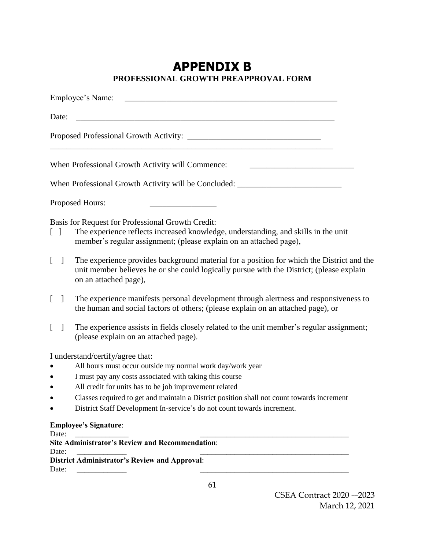## **APPENDIX B PROFESSIONAL GROWTH PREAPPROVAL FORM**

| Employee's Name:                                                                                                                                                                                                                                                                                                                                                                                         |
|----------------------------------------------------------------------------------------------------------------------------------------------------------------------------------------------------------------------------------------------------------------------------------------------------------------------------------------------------------------------------------------------------------|
| Date:                                                                                                                                                                                                                                                                                                                                                                                                    |
|                                                                                                                                                                                                                                                                                                                                                                                                          |
| When Professional Growth Activity will Commence:                                                                                                                                                                                                                                                                                                                                                         |
| When Professional Growth Activity will be Concluded: ___________________________                                                                                                                                                                                                                                                                                                                         |
| Proposed Hours:                                                                                                                                                                                                                                                                                                                                                                                          |
| Basis for Request for Professional Growth Credit:<br>The experience reflects increased knowledge, understanding, and skills in the unit<br>$\begin{bmatrix} 1 \end{bmatrix}$<br>member's regular assignment; (please explain on an attached page),                                                                                                                                                       |
| The experience provides background material for a position for which the District and the<br>$\mathbb{R}$<br>$\Box$<br>unit member believes he or she could logically pursue with the District; (please explain<br>on an attached page),                                                                                                                                                                 |
| The experience manifests personal development through alertness and responsiveness to<br>$\mathbf{L}$<br>$\mathbf{1}$<br>the human and social factors of others; (please explain on an attached page), or                                                                                                                                                                                                |
| The experience assists in fields closely related to the unit member's regular assignment;<br>$\mathbf{1}$<br>(please explain on an attached page).                                                                                                                                                                                                                                                       |
| I understand/certify/agree that:<br>All hours must occur outside my normal work day/work year<br>I must pay any costs associated with taking this course<br>$\bullet$<br>All credit for units has to be job improvement related<br>Classes required to get and maintain a District position shall not count towards increment<br>District Staff Development In-service's do not count towards increment. |
| <b>Employee's Signature:</b>                                                                                                                                                                                                                                                                                                                                                                             |
| Date:<br><b>Site Administrator's Review and Recommendation:</b><br>Date:<br><b>District Administrator's Review and Approval:</b><br>Date:                                                                                                                                                                                                                                                                |

61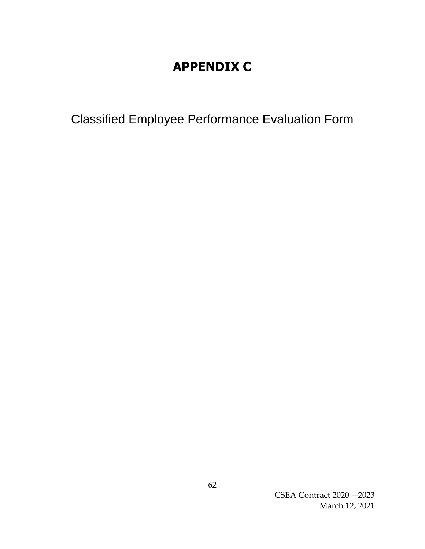# **APPENDIX C**

Classified Employee Performance Evaluation Form

CSEA Contract 2020 -–2023 March 12, 2021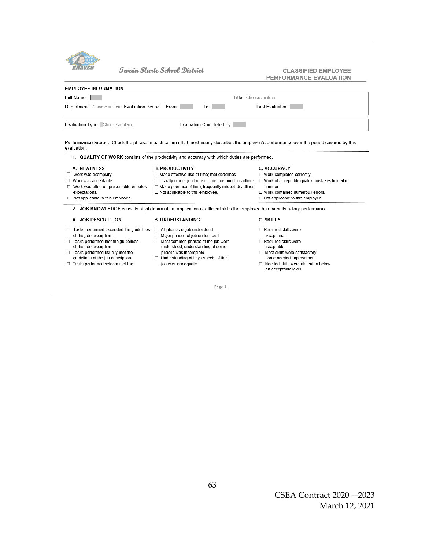|                                                                                                                                                                                                                                                                                                                                                                                                                                      | <b>Typin Hoyte School District</b>                                                                                           | <b>CLASSIFIED EMPLOYEE</b><br>PERFORMANCE EVALUATION                                                                                                                                                                                                            |  |  |  |  |
|--------------------------------------------------------------------------------------------------------------------------------------------------------------------------------------------------------------------------------------------------------------------------------------------------------------------------------------------------------------------------------------------------------------------------------------|------------------------------------------------------------------------------------------------------------------------------|-----------------------------------------------------------------------------------------------------------------------------------------------------------------------------------------------------------------------------------------------------------------|--|--|--|--|
| <b>EMPLOYEE INFORMATION</b>                                                                                                                                                                                                                                                                                                                                                                                                          |                                                                                                                              |                                                                                                                                                                                                                                                                 |  |  |  |  |
| Full Name:<br>Title: Choose an item.                                                                                                                                                                                                                                                                                                                                                                                                 |                                                                                                                              |                                                                                                                                                                                                                                                                 |  |  |  |  |
| Last Evaluation:<br>Department: Choose an item. Evaluation Period: From:<br>To: I                                                                                                                                                                                                                                                                                                                                                    |                                                                                                                              |                                                                                                                                                                                                                                                                 |  |  |  |  |
| Evaluation Type: Choose an item.                                                                                                                                                                                                                                                                                                                                                                                                     |                                                                                                                              | Evaluation Completed By:                                                                                                                                                                                                                                        |  |  |  |  |
| Performance Scope: Check the phrase in each column that most nearly describes the employee's performance over the period covered by this<br>evaluation.<br>1. QUALITY OF WORK consists of the productivity and accuracy with which duties are performed.<br>A. NEATNESS<br><b>B. PRODUCTIVITY</b><br><b>C. ACCURACY</b><br>$\Box$ Work was exemplary.<br>□ Made effective use of time; met deadlines.<br>□ Work completed correctly. |                                                                                                                              |                                                                                                                                                                                                                                                                 |  |  |  |  |
| □ Work was acceptable.<br>□ Work was often un-presentable or below<br>expectations.<br>$\Box$ Not applicable to this employee.                                                                                                                                                                                                                                                                                                       | $\Box$ Not applicable to this employee.                                                                                      | □ Usually made good use of time; met most deadlines. □ Work of acceptable quality; mistakes limited in<br>□ Made poor use of time; frequently missed deadlines.<br>number.<br>$\Box$ Work contained numerous errors.<br>$\Box$ Not applicable to this employee. |  |  |  |  |
|                                                                                                                                                                                                                                                                                                                                                                                                                                      | 2. JOB KNOWLEDGE consists of job information, application of efficient skills the employee has for satisfactory performance. |                                                                                                                                                                                                                                                                 |  |  |  |  |
| A. JOB DESCRIPTION                                                                                                                                                                                                                                                                                                                                                                                                                   | <b>B. UNDERSTANDING</b>                                                                                                      | <b>C. SKILLS</b>                                                                                                                                                                                                                                                |  |  |  |  |
|                                                                                                                                                                                                                                                                                                                                                                                                                                      |                                                                                                                              |                                                                                                                                                                                                                                                                 |  |  |  |  |

- $\Box$  Most skills were satisfactory,<br>some needed improvement.
	- □<br>
	Needed skills were absent or below<br>
	an acceptable level.

Page 1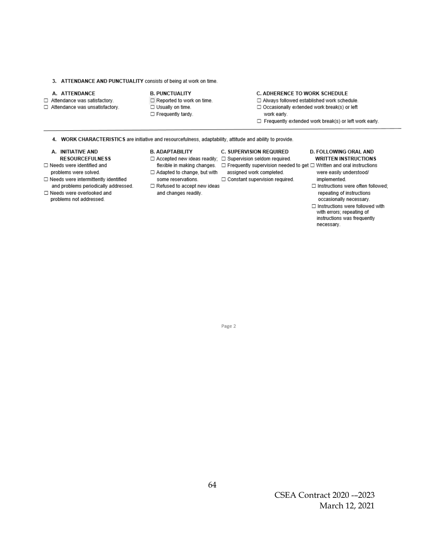### 3. ATTENDANCE AND PUNCTUALITY consists of being at work on time.

### A. ATTENDANCE

### □ Attendance was satisfactory.

□ Attendance was unsatisfactory.

### **B. PUNCTUALITY**

- □ Reported to work on time.
- □ Usually on time.
- □ Frequently tardy.

### C. ADHERENCE TO WORK SCHEDULE

- □ Always followed established work schedule.
- □ Occasionally extended work break(s) or left
- work early.

C. SUPERVISION REQUIRED

assigned work completed.

□ Constant supervision required.

- □ Frequently extended work break(s) or left work early.
- 4. WORK CHARACTERISTICS are initiative and resourcefulness, adaptability, attitude and ability to provide.

### A. INITIATIVE AND

- **RESOURCEFULNESS**
- □ Needs were identified and problems were solved.
- □ Needs were intermittently identified
- and problems periodically addressed. □ Needs were overlooked and
- problems not addressed.

### **B. ADAPTABILITY**

 $\Box$  Accepted new ideas readily;  $\Box$  Supervision seldom required.

### □ Adapted to change, but with some reservations.

□ Refused to accept new ideas and changes readily.

### D. FOLLOWING ORAL AND **WRITTEN INSTRUCTIONS**

- flexible in making changes. 
<br>  $\square$  Frequently supervision needed to get  $\square$  Written and oral instructions were easily understood/ implemented.
	- □ Instructions were often followed; repeating of instructions occasionally necessary.
	- $\Box$  Instructions were followed with with errors; repeating of instructions was frequently necessary.

### Page 2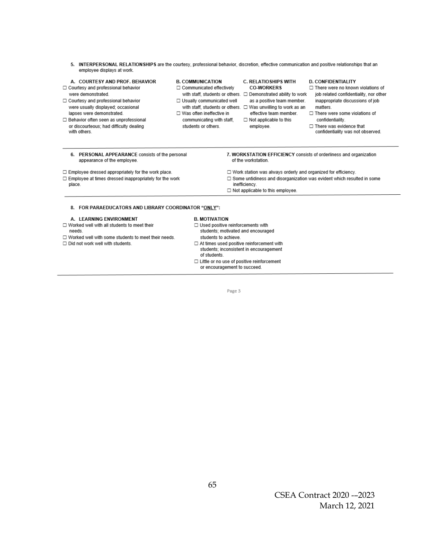5. INTERPERSONAL RELATIONSHIPS are the courtesy, professional behavior, discretion, effective communication and positive relationships that an employee displays at work.

### A. COURTESY AND PROF. BEHAVIOR

- □ Courtesy and professional behavior were demonstrated.
- □ Courtesy and professional behavior were usually displayed; occasional lapses were demonstrated.
- □ Behavior often seen as unprofessional or discourteous; had difficulty dealing with others.

### **B. COMMUNICATION**

- □ Communicated effectively
- □ Usually communicated well □ Was often ineffective in
- communicating with staff. students or others.

### C. RELATIOSHIPS WITH **CO-WORKERS**

- with staff, students or others.  $\Box$  Demonstrated ability to work as a positive team member.
- with staff, students or others.  $\Box$  Was unwilling to work as an effective team member.

 $\Box$  Not applicable to this

employee.

#### **D. CONFIDENTIALITY**

- □ There were no known violations of
- iob related confidentiality, nor other inappropriate discussions of job matters
- □ There were some violations of confidentiality.
- $\Box$  There was evidence that confidentiality was not observed.

6. PERSONAL APPEARANCE consists of the personal appearance of the employee.

### □ Employee dressed appropriately for the work place.

- $\Box$  Employee at times dressed inappropriately for the work place.
- 7. WORKSTATION EFFICIENCY consists of orderliness and organization of the workstation.
- □ Work station was always orderly and organized for efficiency.
- $\Box$  Some untidiness and disorganization was evident which resulted in some
- inefficiency.
- □ Not applicable to this employee.

### 8. FOR PARAEDUCATORS AND LIBRARY COORDINATOR "ONLY":

### A. LEARNING ENVIRONMENT

- $\Box$  Worked well with all students to meet their needs.
- □ Worked well with some students to meet their needs.
- Did not work well with students.
- 

### **B. MOTIVATION**

- $\Box$  Used positive reinforcements with
	- students; motivated and encouraged students to achieve.
- $\Box$  At times used positive reinforcement with students; inconsistent in encouragement of students.
- □ Little or no use of positive reinforcement or encouragement to succeed.

Page 3

## CSEA Contract 2020 - –2023 March 12, 2021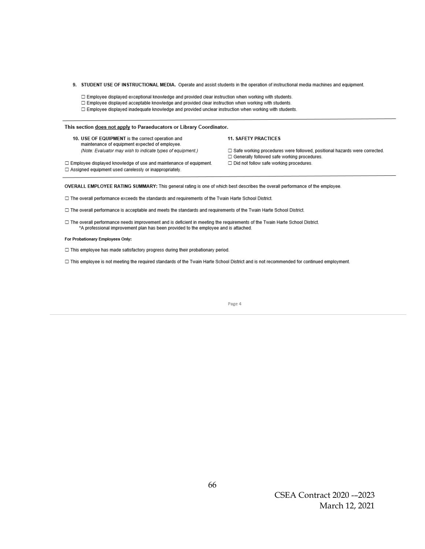- 9. STUDENT USE OF INSTRUCTIONAL MEDIA. Operate and assist students in the operation of instructional media machines and equipment.
	- □ Employee displayed exceptional knowledge and provided clear instruction when working with students.
	- □ Employee displayed acceptable knowledge and provided clear instruction when working with students.
	- □ Employee displayed inadequate knowledge and provided unclear instruction when working with students.

### This section does not apply to Paraeducators or Library Coordinator.

10. USE OF EQUIPMENT is the correct operation and maintenance of equipment expected of employee. (Note: Evaluator may wish to indicate types of equipment.) **11. SAFETY PRACTICES** 

- □ Safe working procedures were followed, positional hazards were corrected. □ Generally followed safe working procedures. □ Did not follow safe working procedures.
- □ Employee displayed knowledge of use and maintenance of equipment. □ Assigned equipment used carelessly or inappropriately.

OVERALL EMPLOYEE RATING SUMMARY: This general rating is one of which best describes the overall performance of the employee.

□ The overall performance exceeds the standards and requirements of the Twain Harte School District.

- □ The overall performance is acceptable and meets the standards and requirements of the Twain Harte School District.
- □ The overall performance needs improvement and is deficient in meeting the requirements of the Twain Harte School District. \*A professional improvement plan has been provided to the employee and is attached.

#### For Probationary Employees Only:

□ This employee has made satisfactory progress during their probationary period.

□ This employee is not meeting the required standards of the Twain Harte School District and is not recommended for continued employment.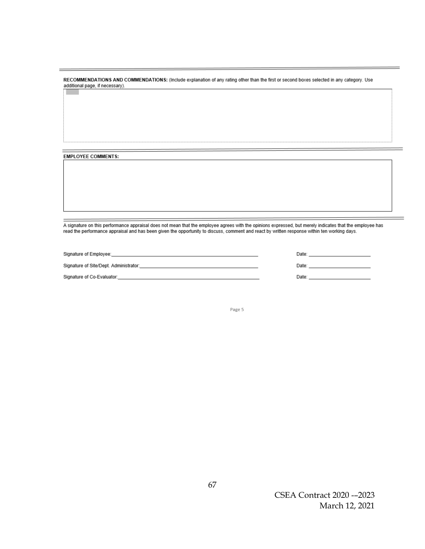RECOMMENDATIONS AND COMMENDATIONS: (Include explanation of any rating other than the first or second boxes selected in any category. Use additional page, if necessary).

**EMPLOYEE COMMENTS:** 

A signature on this performance appraisal does not mean that the employee agrees with the opinions expressed, but merely indicates that the employee has read the performance appraisal and has been given the opportunity to discuss, comment and react by written response within ten working days.

| Signature of Employee:                 | Date: |  |
|----------------------------------------|-------|--|
|                                        |       |  |
| Signature of Site/Dept. Administrator: | Date: |  |
| Signature of Co-Evaluator:             | Date: |  |

Page 5

CSEA Contract 2020 - –2023 March 12, 2021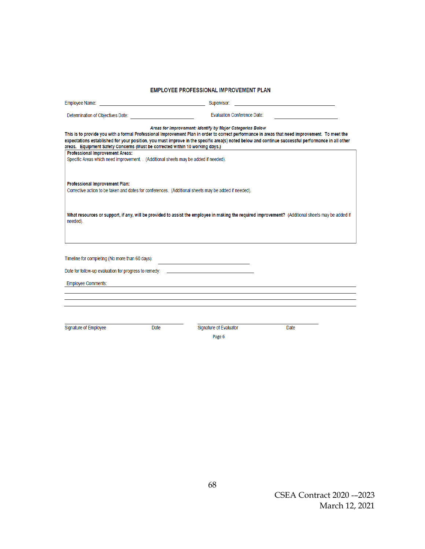### EMPLOYEE PROFESSIONAL IMPROVEMENT PLAN

|                                                                                                                                                                                                                                                                                                                                                                                                                                                                                                                       | Supervisor:                                                                                                            |      |  |  |  |  |
|-----------------------------------------------------------------------------------------------------------------------------------------------------------------------------------------------------------------------------------------------------------------------------------------------------------------------------------------------------------------------------------------------------------------------------------------------------------------------------------------------------------------------|------------------------------------------------------------------------------------------------------------------------|------|--|--|--|--|
| <b>Evaluation Conference Date:</b>                                                                                                                                                                                                                                                                                                                                                                                                                                                                                    |                                                                                                                        |      |  |  |  |  |
| This is to provide you with a formal Professional Improvement Plan in order to correct performance in areas that need improvement. To meet the<br>expectations established for your position, you must improve in the specific area(s) noted below and continue successful performance in all other<br>areas. Equipment Safety Concerns (Must be corrected within 10 working days.)<br><b>Professional Improvement Areas:</b><br>Specific Areas which need improvement. . (Additional sheets may be added if needed). | Areas for Improvement: Identify by Major Categories Below                                                              |      |  |  |  |  |
| Professional Improvement Plan:<br>Corrective action to be taken and dates for conferences. (Additional sheets may be added if needed).                                                                                                                                                                                                                                                                                                                                                                                |                                                                                                                        |      |  |  |  |  |
| What resources or support, if any, will be provided to assist the employee in making the required improvement? (Additional sheets may be added if<br>needed).                                                                                                                                                                                                                                                                                                                                                         |                                                                                                                        |      |  |  |  |  |
| Timeline for completing (No more than 60 days):                                                                                                                                                                                                                                                                                                                                                                                                                                                                       | the control of the control of the control of the control of the control of                                             |      |  |  |  |  |
| Date for follow-up evaluation for progress to remedy:                                                                                                                                                                                                                                                                                                                                                                                                                                                                 | <u> Albany a Company and State and State and State and State and State and State and State and State and State and</u> |      |  |  |  |  |
| <b>Employee Comments:</b>                                                                                                                                                                                                                                                                                                                                                                                                                                                                                             |                                                                                                                        |      |  |  |  |  |
|                                                                                                                                                                                                                                                                                                                                                                                                                                                                                                                       |                                                                                                                        |      |  |  |  |  |
|                                                                                                                                                                                                                                                                                                                                                                                                                                                                                                                       |                                                                                                                        |      |  |  |  |  |
| Signature of Employee<br>Date                                                                                                                                                                                                                                                                                                                                                                                                                                                                                         | Signature of Evaluator<br>Page 6                                                                                       | Date |  |  |  |  |